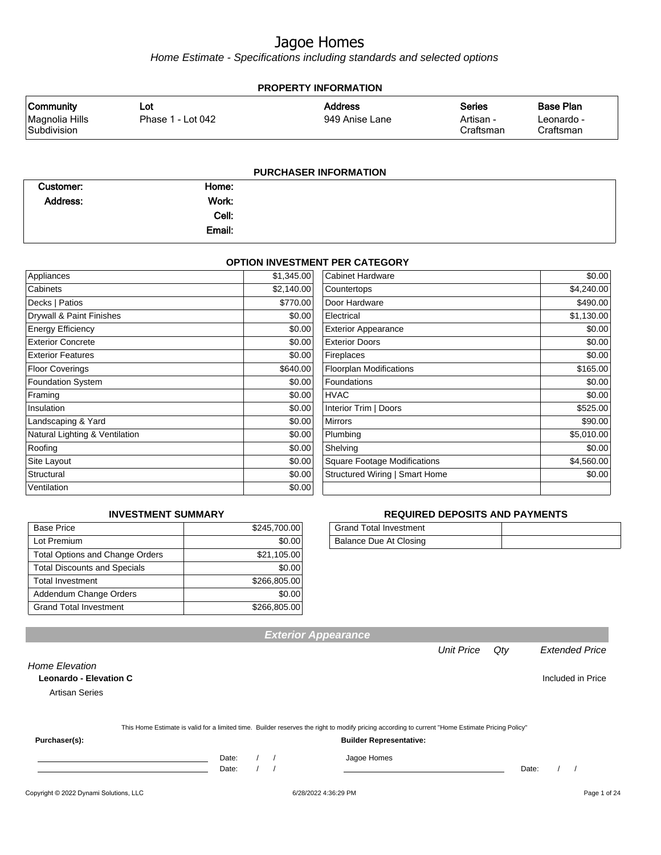Home Estimate - Specifications including standards and selected options

| <b>PROPERTY INFORMATION</b>                       |                           |                                  |                                         |                                             |  |  |  |  |
|---------------------------------------------------|---------------------------|----------------------------------|-----------------------------------------|---------------------------------------------|--|--|--|--|
| <b>Community</b><br>Magnolia Hills<br>Subdivision | ∟ot∶<br>Phase 1 - Lot 042 | <b>Address</b><br>949 Anise Lane | <b>Series</b><br>Artisan -<br>Craftsman | <b>Base Plan</b><br>Leonardo -<br>Craftsman |  |  |  |  |
| <b>PURCHASER INFORMATION</b>                      |                           |                                  |                                         |                                             |  |  |  |  |

| Customer: | Home:  |  |
|-----------|--------|--|
| Address:  | Work:  |  |
|           | Cell:  |  |
|           | Email: |  |

#### **OPTION INVESTMENT PER CATEGORY**

| Appliances                     | \$1,345.00 | <b>Cabinet Hardware</b>             | \$0.00     |
|--------------------------------|------------|-------------------------------------|------------|
| Cabinets                       | \$2,140.00 | Countertops                         | \$4,240.00 |
| Decks   Patios                 | \$770.00   | Door Hardware                       | \$490.00   |
| Drywall & Paint Finishes       | \$0.00     | Electrical                          | \$1,130.00 |
| <b>Energy Efficiency</b>       | \$0.00     | <b>Exterior Appearance</b>          | \$0.00     |
| <b>Exterior Concrete</b>       | \$0.00     | <b>Exterior Doors</b>               | \$0.00     |
| <b>Exterior Features</b>       | \$0.00     | Fireplaces                          | \$0.00     |
| <b>Floor Coverings</b>         | \$640.00   | <b>Floorplan Modifications</b>      | \$165.00   |
| <b>Foundation System</b>       | \$0.00     | Foundations                         | \$0.00     |
| Framing                        | \$0.00     | <b>HVAC</b>                         | \$0.00     |
| Insulation                     | \$0.00     | Interior Trim   Doors               | \$525.00   |
| Landscaping & Yard             | \$0.00     | <b>Mirrors</b>                      | \$90.00    |
| Natural Lighting & Ventilation | \$0.00     | Plumbing                            | \$5,010.00 |
| Roofing                        | \$0.00     | Shelving                            | \$0.00     |
| Site Layout                    | \$0.00     | <b>Square Footage Modifications</b> | \$4,560.00 |
| Structural                     | \$0.00     | Structured Wiring   Smart Home      | \$0.00     |
| Ventilation                    | \$0.00     |                                     |            |

#### **INVESTMENT SUMMARY**

| <b>Base Price</b>                      | \$245,700.00 |
|----------------------------------------|--------------|
| Lot Premium                            | \$0.00       |
| <b>Total Options and Change Orders</b> | \$21,105.00  |
| <b>Total Discounts and Specials</b>    | \$0.00       |
| <b>Total Investment</b>                | \$266,805.00 |
| Addendum Change Orders                 | \$0.00       |
| <b>Grand Total Investment</b>          | \$266,805.00 |

#### **REQUIRED DEPOSITS AND PAYMENTS**

| <b>Grand Total Investment</b> |  |
|-------------------------------|--|
| Balance Due At Closing        |  |

|                                                                          |                                                                                                                                                  | <b>Unit Price</b> | Qty   | <b>Extended Price</b> |
|--------------------------------------------------------------------------|--------------------------------------------------------------------------------------------------------------------------------------------------|-------------------|-------|-----------------------|
| Home Elevation<br><b>Leonardo - Elevation C</b><br><b>Artisan Series</b> |                                                                                                                                                  |                   |       | Included in Price     |
|                                                                          | This Home Estimate is valid for a limited time. Builder reserves the right to modify pricing according to current "Home Estimate Pricing Policy" |                   |       |                       |
| Purchaser(s):                                                            | <b>Builder Representative:</b>                                                                                                                   |                   |       |                       |
|                                                                          | Date:<br>Jagoe Homes<br>$\overline{\phantom{a}}$<br>Date:                                                                                        |                   | Date: |                       |

**Exterior Appearance**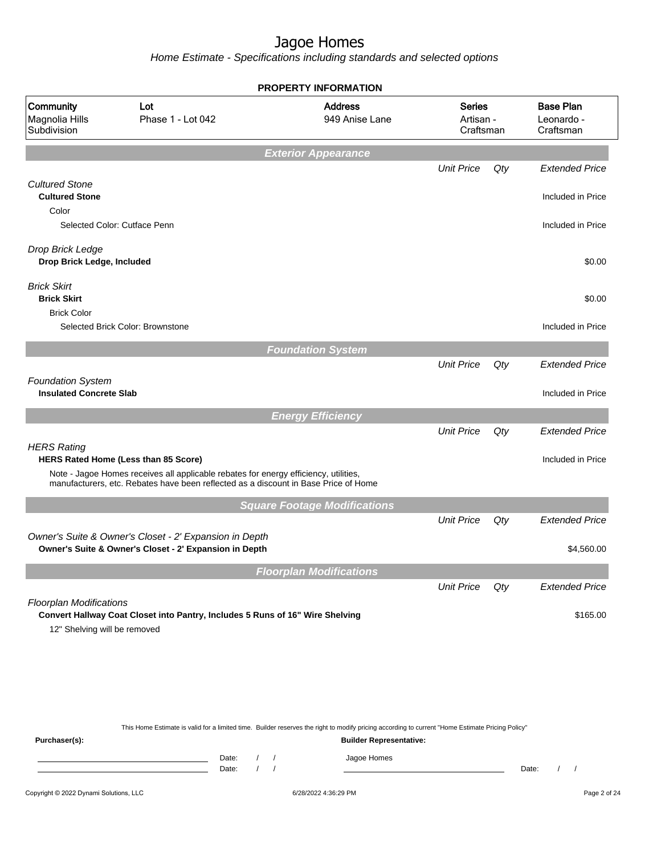Home Estimate - Specifications including standards and selected options

|                                                                   |                                                                                                                                                                             | <b>PROPERTY INFORMATION</b>         |                                         |     |                                             |
|-------------------------------------------------------------------|-----------------------------------------------------------------------------------------------------------------------------------------------------------------------------|-------------------------------------|-----------------------------------------|-----|---------------------------------------------|
| Community<br>Magnolia Hills<br>Subdivision                        | Lot<br>Phase 1 - Lot 042                                                                                                                                                    | <b>Address</b><br>949 Anise Lane    | <b>Series</b><br>Artisan -<br>Craftsman |     | <b>Base Plan</b><br>Leonardo -<br>Craftsman |
|                                                                   |                                                                                                                                                                             | <b>Exterior Appearance</b>          |                                         |     |                                             |
|                                                                   |                                                                                                                                                                             |                                     | <b>Unit Price</b>                       | Qty | <b>Extended Price</b>                       |
| <b>Cultured Stone</b><br><b>Cultured Stone</b><br>Color           |                                                                                                                                                                             |                                     |                                         |     | Included in Price                           |
| Selected Color: Cutface Penn                                      |                                                                                                                                                                             |                                     |                                         |     | Included in Price                           |
| Drop Brick Ledge<br>Drop Brick Ledge, Included                    |                                                                                                                                                                             |                                     |                                         |     | \$0.00                                      |
| <b>Brick Skirt</b><br><b>Brick Skirt</b>                          |                                                                                                                                                                             |                                     |                                         |     | \$0.00                                      |
| <b>Brick Color</b>                                                | Selected Brick Color: Brownstone                                                                                                                                            |                                     |                                         |     | Included in Price                           |
|                                                                   |                                                                                                                                                                             | <b>Foundation System</b>            |                                         |     |                                             |
|                                                                   |                                                                                                                                                                             |                                     | <b>Unit Price</b>                       | Qty | <b>Extended Price</b>                       |
| <b>Foundation System</b><br><b>Insulated Concrete Slab</b>        |                                                                                                                                                                             |                                     |                                         |     | Included in Price                           |
|                                                                   |                                                                                                                                                                             | <b>Energy Efficiency</b>            |                                         |     |                                             |
| <b>HERS Rating</b><br><b>HERS Rated Home (Less than 85 Score)</b> | Note - Jagoe Homes receives all applicable rebates for energy efficiency, utilities,<br>manufacturers, etc. Rebates have been reflected as a discount in Base Price of Home |                                     | <b>Unit Price</b>                       | Qty | <b>Extended Price</b><br>Included in Price  |
|                                                                   |                                                                                                                                                                             |                                     |                                         |     |                                             |
|                                                                   |                                                                                                                                                                             | <b>Square Footage Modifications</b> | <b>Unit Price</b>                       | Qty | <b>Extended Price</b>                       |
|                                                                   | Owner's Suite & Owner's Closet - 2' Expansion in Depth<br>Owner's Suite & Owner's Closet - 2' Expansion in Depth                                                            |                                     |                                         |     | \$4,560.00                                  |
|                                                                   |                                                                                                                                                                             | <b>Floorplan Modifications</b>      |                                         |     |                                             |
| <b>Floorplan Modifications</b>                                    |                                                                                                                                                                             |                                     | <b>Unit Price</b>                       | Qty | <b>Extended Price</b>                       |
|                                                                   | Convert Hallway Coat Closet into Pantry, Includes 5 Runs of 16" Wire Shelving                                                                                               |                                     |                                         |     | \$165.00                                    |

This Home Estimate is valid for a limited time. Builder reserves the right to modify pricing according to current "Home Estimate Pricing Policy"

**Purchaser(s): Builder Representative:** Date: / / Jagoe Homes<br>Date: / / Jagoe Homes Date: / / **Date: / / 2006** Date: / / / Date: / / / Date: / / / 2006 Date: / / / 2006 Date: / / / 2006 Date: / / / 2006 Date: / / / 2007 Date: / / / 2007 Date: / / / 2007 Date: / / / 2007 Date: / / / 2007 Date: / / / 2007 D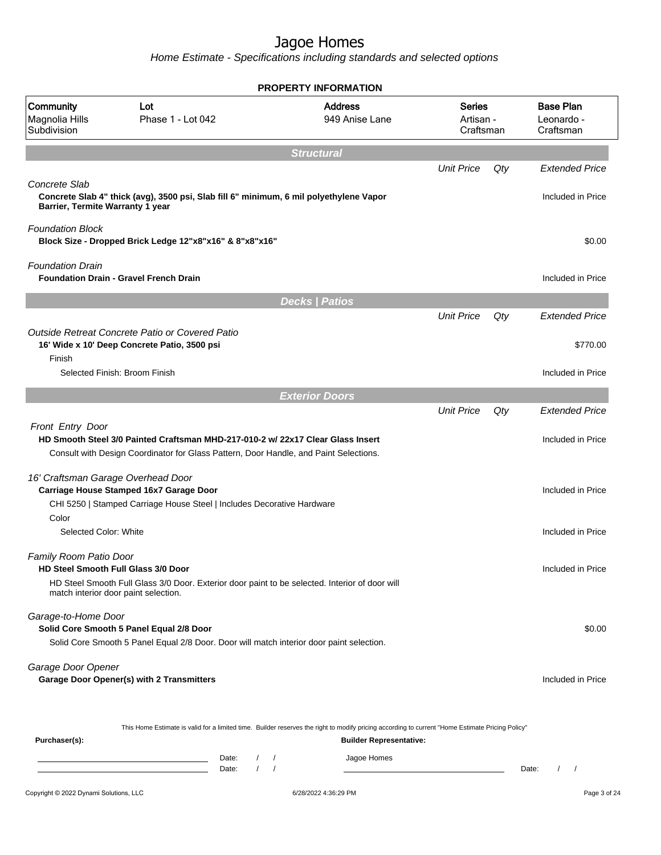Home Estimate - Specifications including standards and selected options

| <b>PROPERTY INFORMATION</b>                                   |                                                                                                                                                                          |                                               |                                         |     |                                             |
|---------------------------------------------------------------|--------------------------------------------------------------------------------------------------------------------------------------------------------------------------|-----------------------------------------------|-----------------------------------------|-----|---------------------------------------------|
| Community<br>Magnolia Hills<br>Subdivision                    | Lot<br>Phase 1 - Lot 042                                                                                                                                                 | <b>Address</b><br>949 Anise Lane              | <b>Series</b><br>Artisan -<br>Craftsman |     | <b>Base Plan</b><br>Leonardo -<br>Craftsman |
|                                                               |                                                                                                                                                                          | <b>Structural</b>                             |                                         |     |                                             |
| Concrete Slab<br>Barrier, Termite Warranty 1 year             | Concrete Slab 4" thick (avg), 3500 psi, Slab fill 6" minimum, 6 mil polyethylene Vapor                                                                                   |                                               | <b>Unit Price</b>                       | Qty | <b>Extended Price</b><br>Included in Price  |
| <b>Foundation Block</b>                                       | Block Size - Dropped Brick Ledge 12"x8"x16" & 8"x8"x16"                                                                                                                  |                                               |                                         |     | \$0.00                                      |
| <b>Foundation Drain</b>                                       | <b>Foundation Drain - Gravel French Drain</b>                                                                                                                            |                                               |                                         |     | Included in Price                           |
|                                                               |                                                                                                                                                                          | <b>Decks   Patios</b>                         |                                         |     |                                             |
|                                                               |                                                                                                                                                                          |                                               | <b>Unit Price</b>                       | Qty | <b>Extended Price</b>                       |
| Finish                                                        | Outside Retreat Concrete Patio or Covered Patio<br>16' Wide x 10' Deep Concrete Patio, 3500 psi                                                                          |                                               |                                         |     | \$770.00                                    |
|                                                               | Selected Finish: Broom Finish                                                                                                                                            |                                               |                                         |     | Included in Price                           |
|                                                               |                                                                                                                                                                          | <b>Exterior Doors</b>                         |                                         |     |                                             |
| Front Entry Door                                              | HD Smooth Steel 3/0 Painted Craftsman MHD-217-010-2 w/ 22x17 Clear Glass Insert<br>Consult with Design Coordinator for Glass Pattern, Door Handle, and Paint Selections. |                                               | <b>Unit Price</b>                       | Qty | <b>Extended Price</b><br>Included in Price  |
| 16' Craftsman Garage Overhead Door                            | Carriage House Stamped 16x7 Garage Door<br>CHI 5250   Stamped Carriage House Steel   Includes Decorative Hardware                                                        |                                               |                                         |     | Included in Price                           |
| Color<br>Selected Color: White                                |                                                                                                                                                                          |                                               |                                         |     | Included in Price                           |
| Family Room Patio Door<br>HD Steel Smooth Full Glass 3/0 Door | HD Steel Smooth Full Glass 3/0 Door. Exterior door paint to be selected. Interior of door will<br>match interior door paint selection.                                   |                                               |                                         |     | Included in Price                           |
| Garage-to-Home Door                                           | Solid Core Smooth 5 Panel Equal 2/8 Door<br>Solid Core Smooth 5 Panel Equal 2/8 Door. Door will match interior door paint selection.                                     |                                               |                                         |     | \$0.00                                      |
| Garage Door Opener                                            | Garage Door Opener(s) with 2 Transmitters                                                                                                                                |                                               |                                         |     | Included in Price                           |
| Purchaser(s):                                                 | This Home Estimate is valid for a limited time. Builder reserves the right to modify pricing according to current "Home Estimate Pricing Policy"<br>Date:                | <b>Builder Representative:</b><br>Jagoe Homes |                                         |     |                                             |

Date: / / Jagoe Homes<br>Date: / / Jagoe Homes Date: / /  $\overline{\phantom{a}}$ Copyright © 2022 Dynami Solutions, LLC <br>
6/28/2022 4:36:29 PM Page 3 of 24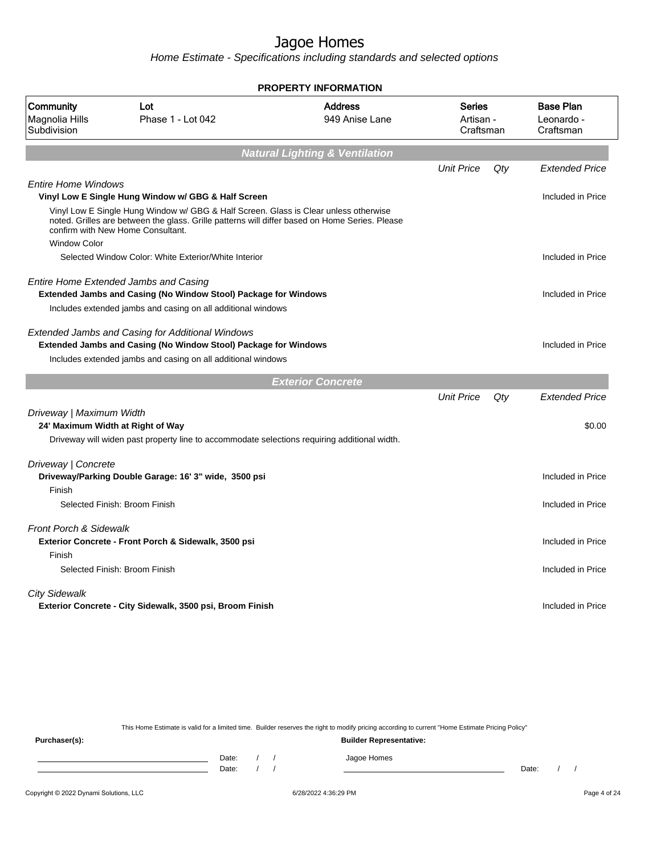Home Estimate - Specifications including standards and selected options

|                                                               |                                                                                                                                                                                            | PROPERTY INFORMATION                      |                                         |     |                                             |
|---------------------------------------------------------------|--------------------------------------------------------------------------------------------------------------------------------------------------------------------------------------------|-------------------------------------------|-----------------------------------------|-----|---------------------------------------------|
| Community<br>Magnolia Hills<br>Subdivision                    | Lot<br>Phase 1 - Lot 042                                                                                                                                                                   | <b>Address</b><br>949 Anise Lane          | <b>Series</b><br>Artisan -<br>Craftsman |     | <b>Base Plan</b><br>Leonardo -<br>Craftsman |
|                                                               |                                                                                                                                                                                            | <b>Natural Lighting &amp; Ventilation</b> |                                         |     |                                             |
|                                                               |                                                                                                                                                                                            |                                           | <b>Unit Price</b>                       | Qty | <b>Extended Price</b>                       |
| <b>Entire Home Windows</b>                                    | Vinyl Low E Single Hung Window w/ GBG & Half Screen                                                                                                                                        |                                           |                                         |     | Included in Price                           |
| confirm with New Home Consultant.                             | Vinyl Low E Single Hung Window w/ GBG & Half Screen. Glass is Clear unless otherwise<br>noted. Grilles are between the glass. Grille patterns will differ based on Home Series. Please     |                                           |                                         |     |                                             |
| <b>Window Color</b>                                           | Selected Window Color: White Exterior/White Interior                                                                                                                                       |                                           |                                         |     | Included in Price                           |
|                                                               |                                                                                                                                                                                            |                                           |                                         |     |                                             |
| <b>Entire Home Extended Jambs and Casing</b>                  | Extended Jambs and Casing (No Window Stool) Package for Windows                                                                                                                            |                                           |                                         |     | Included in Price                           |
|                                                               | Includes extended jambs and casing on all additional windows                                                                                                                               |                                           |                                         |     |                                             |
|                                                               | <b>Extended Jambs and Casing for Additional Windows</b><br>Extended Jambs and Casing (No Window Stool) Package for Windows<br>Includes extended jambs and casing on all additional windows |                                           |                                         |     | Included in Price                           |
|                                                               |                                                                                                                                                                                            |                                           |                                         |     |                                             |
|                                                               |                                                                                                                                                                                            | <b>Exterior Concrete</b>                  |                                         |     |                                             |
|                                                               |                                                                                                                                                                                            |                                           |                                         |     |                                             |
| Driveway   Maximum Width<br>24' Maximum Width at Right of Way |                                                                                                                                                                                            |                                           | <b>Unit Price</b>                       | Qty | <b>Extended Price</b><br>\$0.00             |
|                                                               | Driveway will widen past property line to accommodate selections requiring additional width.                                                                                               |                                           |                                         |     |                                             |
|                                                               |                                                                                                                                                                                            |                                           |                                         |     |                                             |
| Driveway   Concrete                                           | Driveway/Parking Double Garage: 16' 3" wide, 3500 psi                                                                                                                                      |                                           |                                         |     | Included in Price                           |
| Finish<br>Selected Finish: Broom Finish                       |                                                                                                                                                                                            |                                           |                                         |     | Included in Price                           |
|                                                               |                                                                                                                                                                                            |                                           |                                         |     |                                             |
| <b>Front Porch &amp; Sidewalk</b>                             | Exterior Concrete - Front Porch & Sidewalk, 3500 psi                                                                                                                                       |                                           |                                         |     | Included in Price                           |
| Finish<br>Selected Finish: Broom Finish                       |                                                                                                                                                                                            |                                           |                                         |     | Included in Price                           |
| <b>City Sidewalk</b>                                          | Exterior Concrete - City Sidewalk, 3500 psi, Broom Finish                                                                                                                                  |                                           |                                         |     | Included in Price                           |

This Home Estimate is valid for a limited time. Builder reserves the right to modify pricing according to current "Home Estimate Pricing Policy" **Purchaser(s): Builder Representative:** Date: / / Jagoe Homes<br>Date: / / Jagoe Homes Date: / / **Date: / / 2006** Date: / / **Date: / / / 2006** Date: / / / 2006 Date: / / / 2006 Date: / / / 2006 Date: / / / 2007 Date: / / / 2007 Date: / / / 2008 Date: / / / 2008 Date: / / / 2008 Date: / / / 2008 Date: / / / 2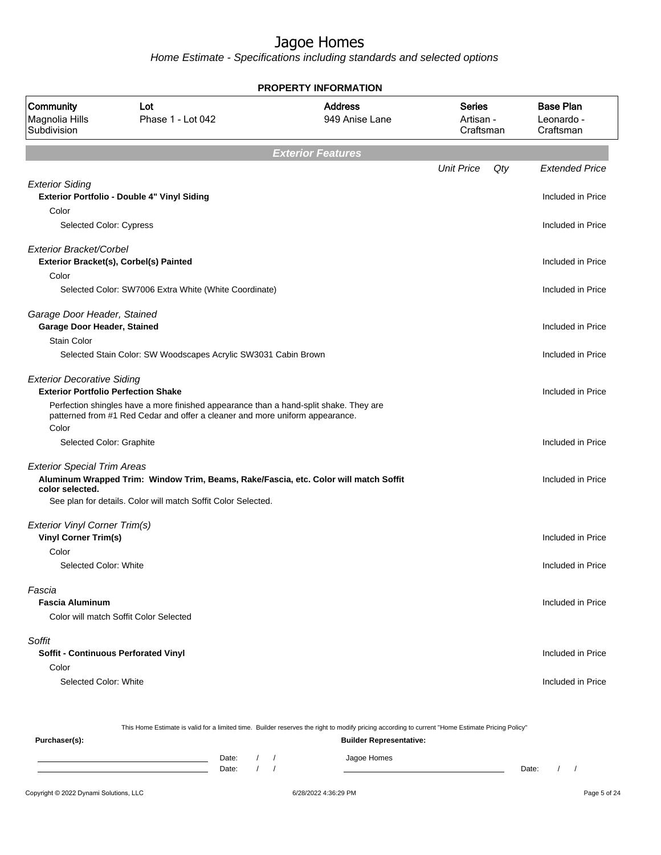Home Estimate - Specifications including standards and selected options

|                                                                                 |                                                                                                                                                       | <b>PROPERTY INFORMATION</b>      |                                         |     |                                             |
|---------------------------------------------------------------------------------|-------------------------------------------------------------------------------------------------------------------------------------------------------|----------------------------------|-----------------------------------------|-----|---------------------------------------------|
| Community<br>Magnolia Hills<br>Subdivision                                      | Lot<br>Phase 1 - Lot 042                                                                                                                              | <b>Address</b><br>949 Anise Lane | <b>Series</b><br>Artisan -<br>Craftsman |     | <b>Base Plan</b><br>Leonardo -<br>Craftsman |
|                                                                                 |                                                                                                                                                       | <b>Exterior Features</b>         |                                         |     |                                             |
|                                                                                 |                                                                                                                                                       |                                  | <b>Unit Price</b>                       | Qty | <b>Extended Price</b>                       |
| <b>Exterior Siding</b><br>Color                                                 | Exterior Portfolio - Double 4" Vinyl Siding                                                                                                           |                                  |                                         |     | Included in Price                           |
| Selected Color: Cypress                                                         |                                                                                                                                                       |                                  |                                         |     | Included in Price                           |
| <b>Exterior Bracket/Corbel</b>                                                  | Exterior Bracket(s), Corbel(s) Painted                                                                                                                |                                  |                                         |     | Included in Price                           |
| Color                                                                           | Selected Color: SW7006 Extra White (White Coordinate)                                                                                                 |                                  |                                         |     | Included in Price                           |
| Garage Door Header, Stained<br>Garage Door Header, Stained                      |                                                                                                                                                       |                                  |                                         |     | Included in Price                           |
| Stain Color                                                                     | Selected Stain Color: SW Woodscapes Acrylic SW3031 Cabin Brown                                                                                        |                                  |                                         |     | Included in Price                           |
| <b>Exterior Decorative Siding</b><br><b>Exterior Portfolio Perfection Shake</b> | Perfection shingles have a more finished appearance than a hand-split shake. They are                                                                 |                                  |                                         |     | Included in Price                           |
| Color                                                                           | patterned from #1 Red Cedar and offer a cleaner and more uniform appearance.                                                                          |                                  |                                         |     |                                             |
| Selected Color: Graphite                                                        |                                                                                                                                                       |                                  |                                         |     | Included in Price                           |
| <b>Exterior Special Trim Areas</b><br>color selected.                           | Aluminum Wrapped Trim: Window Trim, Beams, Rake/Fascia, etc. Color will match Soffit<br>See plan for details. Color will match Soffit Color Selected. |                                  |                                         |     | Included in Price                           |
|                                                                                 |                                                                                                                                                       |                                  |                                         |     |                                             |
| <b>Exterior Vinyl Corner Trim(s)</b><br><b>Vinyl Corner Trim(s)</b>             |                                                                                                                                                       |                                  |                                         |     | Included in Price                           |
| Color<br>Selected Color: White                                                  |                                                                                                                                                       |                                  |                                         |     | Included in Price                           |
| Fascia<br><b>Fascia Aluminum</b>                                                | Color will match Soffit Color Selected                                                                                                                |                                  |                                         |     | Included in Price                           |
|                                                                                 |                                                                                                                                                       |                                  |                                         |     |                                             |
| Soffit<br><b>Soffit - Continuous Perforated Vinyl</b>                           |                                                                                                                                                       |                                  |                                         |     | Included in Price                           |
| Color                                                                           |                                                                                                                                                       |                                  |                                         |     |                                             |
| Selected Color: White                                                           |                                                                                                                                                       |                                  |                                         |     | Included in Price                           |
|                                                                                 |                                                                                                                                                       |                                  |                                         |     |                                             |

This Home Estimate is valid for a limited time. Builder reserves the right to modify pricing according to current "Home Estimate Pricing Policy" **Purchaser(s): Builder Representative:** Date: / / Jagoe Homes<br>Date: / / Jagoe Homes Date: / / **Date: / / 2006** Date: / / / Date: / / / Date: / / / 2006 Date: / / / 2006 Date: / / / 2006 Date: / / / 2006 Date: / / / 2007 Date: / / / 2007 Date: / / / 2007 Date: / / / 2007 Date: / / / 2007 Date: / / / 2007 D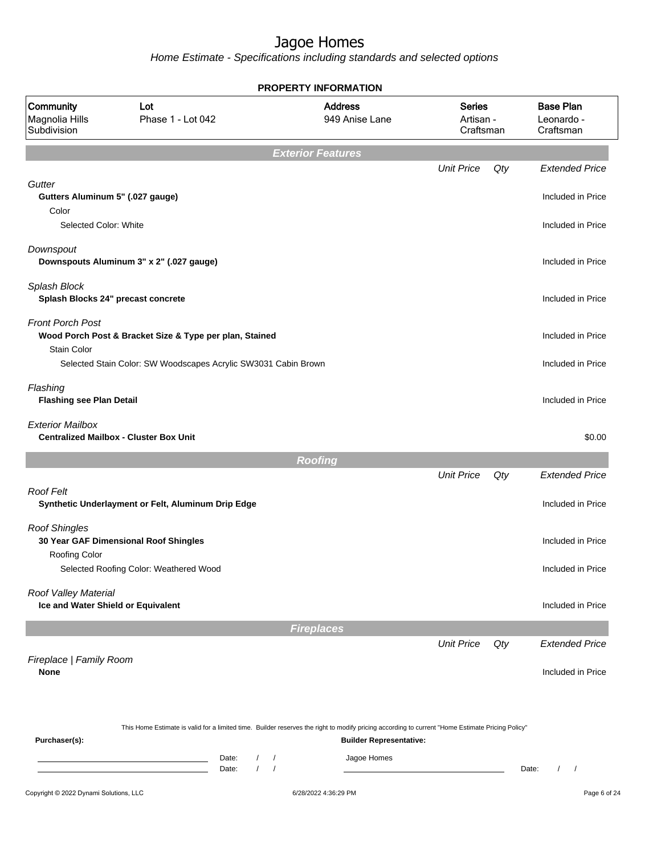|                                                            |                                                                                                                                                  | <b>PROPERTY INFORMATION</b> |                                |                                         |       |                                             |
|------------------------------------------------------------|--------------------------------------------------------------------------------------------------------------------------------------------------|-----------------------------|--------------------------------|-----------------------------------------|-------|---------------------------------------------|
| Community<br>Magnolia Hills<br>Subdivision                 | Lot<br>Phase 1 - Lot 042                                                                                                                         | <b>Address</b>              | 949 Anise Lane                 | <b>Series</b><br>Artisan -<br>Craftsman |       | <b>Base Plan</b><br>Leonardo -<br>Craftsman |
|                                                            |                                                                                                                                                  | <b>Exterior Features</b>    |                                |                                         |       |                                             |
|                                                            |                                                                                                                                                  |                             |                                | <b>Unit Price</b>                       | Qty   | <b>Extended Price</b>                       |
| Gutter<br>Gutters Aluminum 5" (.027 gauge)<br>Color        |                                                                                                                                                  |                             |                                |                                         |       | Included in Price                           |
| Selected Color: White                                      |                                                                                                                                                  |                             |                                |                                         |       | Included in Price                           |
| Downspout                                                  | Downspouts Aluminum 3" x 2" (.027 gauge)                                                                                                         |                             |                                |                                         |       | Included in Price                           |
| Splash Block<br>Splash Blocks 24" precast concrete         |                                                                                                                                                  |                             |                                |                                         |       | Included in Price                           |
| <b>Front Porch Post</b><br><b>Stain Color</b>              | Wood Porch Post & Bracket Size & Type per plan, Stained                                                                                          |                             |                                |                                         |       | Included in Price                           |
|                                                            | Selected Stain Color: SW Woodscapes Acrylic SW3031 Cabin Brown                                                                                   |                             |                                |                                         |       | Included in Price                           |
| Flashing<br><b>Flashing see Plan Detail</b>                |                                                                                                                                                  |                             |                                |                                         |       | Included in Price                           |
| <b>Exterior Mailbox</b>                                    | <b>Centralized Mailbox - Cluster Box Unit</b>                                                                                                    |                             |                                |                                         |       | \$0.00                                      |
|                                                            |                                                                                                                                                  | <b>Roofing</b>              |                                |                                         |       |                                             |
|                                                            |                                                                                                                                                  |                             |                                | <b>Unit Price</b>                       | Qty   | <b>Extended Price</b>                       |
| Roof Felt                                                  | Synthetic Underlayment or Felt, Aluminum Drip Edge                                                                                               |                             |                                |                                         |       | Included in Price                           |
| <b>Roof Shingles</b>                                       | 30 Year GAF Dimensional Roof Shingles                                                                                                            |                             |                                |                                         |       | Included in Price                           |
| Roofing Color                                              | Selected Roofing Color: Weathered Wood                                                                                                           |                             |                                |                                         |       | Included in Price                           |
| Roof Valley Material<br>Ice and Water Shield or Equivalent |                                                                                                                                                  |                             |                                |                                         |       | Included in Price                           |
|                                                            |                                                                                                                                                  | <b>Fireplaces</b>           |                                |                                         |       |                                             |
|                                                            |                                                                                                                                                  |                             |                                | <b>Unit Price</b>                       | Qty   | <b>Extended Price</b>                       |
| Fireplace   Family Room<br>None                            |                                                                                                                                                  |                             |                                |                                         |       | Included in Price                           |
| Purchaser(s):                                              | This Home Estimate is valid for a limited time. Builder reserves the right to modify pricing according to current "Home Estimate Pricing Policy" |                             | <b>Builder Representative:</b> |                                         |       |                                             |
|                                                            | Date:<br>$\sqrt{2}$<br><u> 1989 - Johann Barn, mars ann an t-</u><br>$\sqrt{ }$<br>Date:                                                         | $\prime$<br>$\sqrt{ }$      | Jagoe Homes                    |                                         | Date: | $\prime$<br>$\sqrt{2}$                      |
| Copyright © 2022 Dynami Solutions, LLC                     |                                                                                                                                                  | 6/28/2022 4:36:29 PM        |                                |                                         |       | Page 6 of 24                                |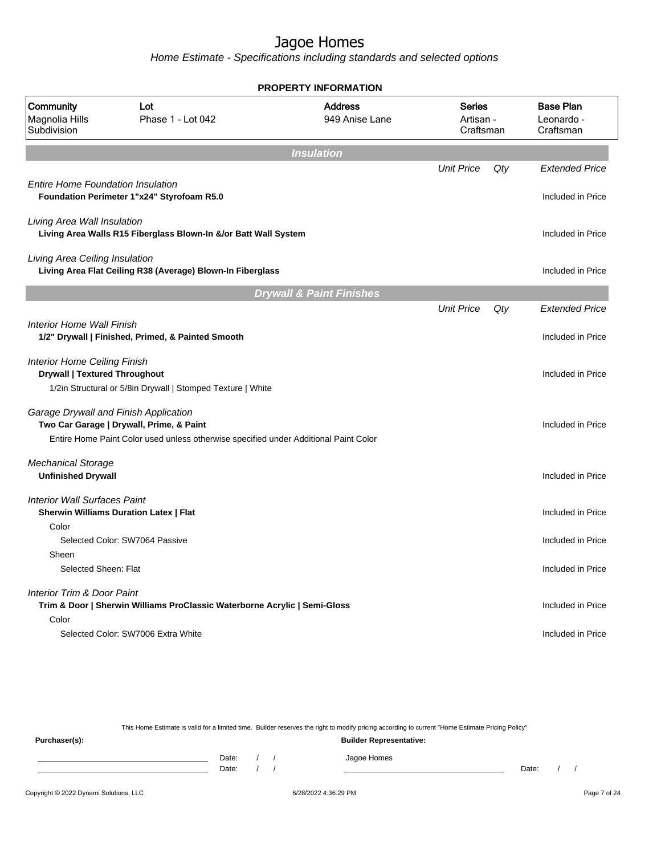Home Estimate - Specifications including standards and selected options

| <b>PROPERTY INFORMATION</b>                                                                   |                                                                                      |                                     |                                         |     |                                             |
|-----------------------------------------------------------------------------------------------|--------------------------------------------------------------------------------------|-------------------------------------|-----------------------------------------|-----|---------------------------------------------|
| Community<br>Magnolia Hills<br>Subdivision                                                    | Lot<br>Phase 1 - Lot 042                                                             | <b>Address</b><br>949 Anise Lane    | <b>Series</b><br>Artisan -<br>Craftsman |     | <b>Base Plan</b><br>Leonardo -<br>Craftsman |
|                                                                                               |                                                                                      | <b>Insulation</b>                   |                                         |     |                                             |
| <b>Entire Home Foundation Insulation</b>                                                      | Foundation Perimeter 1"x24" Styrofoam R5.0                                           |                                     | <b>Unit Price</b>                       | Qty | <b>Extended Price</b><br>Included in Price  |
| Living Area Wall Insulation                                                                   | Living Area Walls R15 Fiberglass Blown-In &/or Batt Wall System                      |                                     |                                         |     | Included in Price                           |
| Living Area Ceiling Insulation                                                                | Living Area Flat Ceiling R38 (Average) Blown-In Fiberglass                           |                                     |                                         |     | Included in Price                           |
|                                                                                               |                                                                                      | <b>Drywall &amp; Paint Finishes</b> |                                         |     |                                             |
|                                                                                               |                                                                                      |                                     | <b>Unit Price</b>                       | Qty | <b>Extended Price</b>                       |
| <b>Interior Home Wall Finish</b>                                                              | 1/2" Drywall   Finished, Primed, & Painted Smooth                                    |                                     |                                         |     | Included in Price                           |
| <b>Interior Home Ceiling Finish</b><br><b>Drywall   Textured Throughout</b>                   | 1/2in Structural or 5/8in Drywall   Stomped Texture   White                          |                                     |                                         |     | Included in Price                           |
| Garage Drywall and Finish Application<br>Two Car Garage   Drywall, Prime, & Paint             | Entire Home Paint Color used unless otherwise specified under Additional Paint Color |                                     |                                         |     | Included in Price                           |
| <b>Mechanical Storage</b><br><b>Unfinished Drywall</b>                                        |                                                                                      |                                     |                                         |     | Included in Price                           |
| <b>Interior Wall Surfaces Paint</b><br><b>Sherwin Williams Duration Latex   Flat</b><br>Color |                                                                                      |                                     |                                         |     | Included in Price                           |
| Selected Color: SW7064 Passive                                                                |                                                                                      |                                     |                                         |     | Included in Price                           |
| Sheen<br>Selected Sheen: Flat                                                                 |                                                                                      |                                     |                                         |     | Included in Price                           |
| Interior Trim & Door Paint                                                                    | Trim & Door   Sherwin Williams ProClassic Waterborne Acrylic   Semi-Gloss            |                                     |                                         |     | Included in Price                           |
| Color                                                                                         | Selected Color: SW7006 Extra White                                                   |                                     |                                         |     | Included in Price                           |

This Home Estimate is valid for a limited time. Builder reserves the right to modify pricing according to current "Home Estimate Pricing Policy"

**Purchaser(s): Builder Representative:** Date: / / Jagoe Homes<br>Date: / / Jagoe Homes Date: / / **Date: / / 2006** Date: / / / Date: / / / Date: / / / 2006 Date: / / / 2006 Date: / / / 2006 Date: / / / 2006 Date: / / / 2007 Date: / / / 2007 Date: / / / 2007 Date: / / / 2007 Date: / / / 2007 Date: / / / 2007 D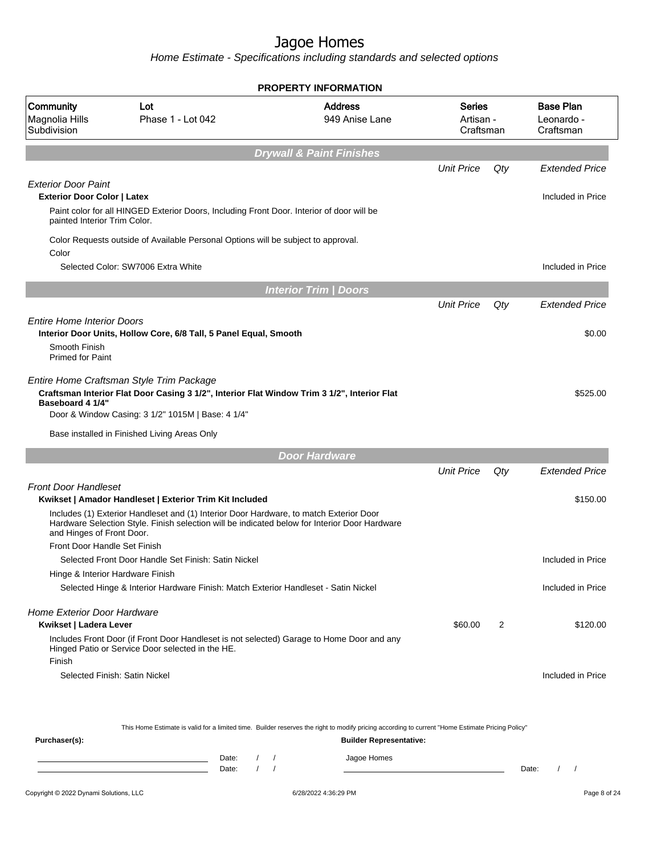Home Estimate - Specifications including standards and selected options

|                                                                                                  |                                                                                                                                                                                                                                                    | <b>PROPERTY INFORMATION</b>      |                                  |     |                                             |  |  |  |  |  |
|--------------------------------------------------------------------------------------------------|----------------------------------------------------------------------------------------------------------------------------------------------------------------------------------------------------------------------------------------------------|----------------------------------|----------------------------------|-----|---------------------------------------------|--|--|--|--|--|
| Community<br>Magnolia Hills<br>Subdivision                                                       | Lot<br>Phase 1 - Lot 042                                                                                                                                                                                                                           | <b>Address</b><br>949 Anise Lane | Series<br>Artisan -<br>Craftsman |     | <b>Base Plan</b><br>Leonardo -<br>Craftsman |  |  |  |  |  |
| <b>Drywall &amp; Paint Finishes</b>                                                              |                                                                                                                                                                                                                                                    |                                  |                                  |     |                                             |  |  |  |  |  |
|                                                                                                  |                                                                                                                                                                                                                                                    |                                  | <b>Unit Price</b>                | Qty | <b>Extended Price</b>                       |  |  |  |  |  |
| <b>Exterior Door Paint</b><br><b>Exterior Door Color   Latex</b><br>painted Interior Trim Color. | Paint color for all HINGED Exterior Doors, Including Front Door. Interior of door will be                                                                                                                                                          |                                  |                                  |     | Included in Price                           |  |  |  |  |  |
| Color                                                                                            | Color Requests outside of Available Personal Options will be subject to approval.                                                                                                                                                                  |                                  |                                  |     |                                             |  |  |  |  |  |
|                                                                                                  | Selected Color: SW7006 Extra White                                                                                                                                                                                                                 |                                  |                                  |     | Included in Price                           |  |  |  |  |  |
|                                                                                                  |                                                                                                                                                                                                                                                    | <b>Interior Trim / Doors</b>     |                                  |     |                                             |  |  |  |  |  |
|                                                                                                  |                                                                                                                                                                                                                                                    |                                  | <b>Unit Price</b>                | Qty | <b>Extended Price</b>                       |  |  |  |  |  |
| <b>Entire Home Interior Doors</b><br>Smooth Finish<br><b>Primed for Paint</b>                    | Interior Door Units, Hollow Core, 6/8 Tall, 5 Panel Equal, Smooth                                                                                                                                                                                  |                                  |                                  |     | \$0.00                                      |  |  |  |  |  |
| Baseboard 4 1/4"                                                                                 | Entire Home Craftsman Style Trim Package<br>Craftsman Interior Flat Door Casing 3 1/2", Interior Flat Window Trim 3 1/2", Interior Flat<br>Door & Window Casing: 3 1/2" 1015M   Base: 4 1/4"<br>Base installed in Finished Living Areas Only       |                                  |                                  |     | \$525.00                                    |  |  |  |  |  |
|                                                                                                  |                                                                                                                                                                                                                                                    | <b>Door Hardware</b>             |                                  |     |                                             |  |  |  |  |  |
|                                                                                                  |                                                                                                                                                                                                                                                    |                                  | <b>Unit Price</b>                | Qty | <b>Extended Price</b>                       |  |  |  |  |  |
| <b>Front Door Handleset</b><br>and Hinges of Front Door.                                         | Kwikset   Amador Handleset   Exterior Trim Kit Included<br>Includes (1) Exterior Handleset and (1) Interior Door Hardware, to match Exterior Door<br>Hardware Selection Style. Finish selection will be indicated below for Interior Door Hardware |                                  |                                  |     | \$150.00                                    |  |  |  |  |  |
| Front Door Handle Set Finish                                                                     |                                                                                                                                                                                                                                                    |                                  |                                  |     |                                             |  |  |  |  |  |
| Hinge & Interior Hardware Finish                                                                 | Selected Front Door Handle Set Finish: Satin Nickel                                                                                                                                                                                                |                                  |                                  |     | Included in Price                           |  |  |  |  |  |
|                                                                                                  | Selected Hinge & Interior Hardware Finish: Match Exterior Handleset - Satin Nickel                                                                                                                                                                 |                                  |                                  |     | Included in Price                           |  |  |  |  |  |
| <b>Home Exterior Door Hardware</b><br>Kwikset   Ladera Lever                                     |                                                                                                                                                                                                                                                    |                                  | \$60.00                          | 2   | \$120.00                                    |  |  |  |  |  |
| Finish                                                                                           | Includes Front Door (if Front Door Handleset is not selected) Garage to Home Door and any<br>Hinged Patio or Service Door selected in the HE.                                                                                                      |                                  |                                  |     |                                             |  |  |  |  |  |
|                                                                                                  | Selected Finish: Satin Nickel                                                                                                                                                                                                                      |                                  |                                  |     | Included in Price                           |  |  |  |  |  |
|                                                                                                  |                                                                                                                                                                                                                                                    |                                  |                                  |     |                                             |  |  |  |  |  |

This Home Estimate is valid for a limited time. Builder reserves the right to modify pricing according to current "Home Estimate Pricing Policy"

| Purchaser(s): |                |  | <b>Builder Representative:</b> |       |  |
|---------------|----------------|--|--------------------------------|-------|--|
|               | Date:<br>Date: |  | Jagoe Homes                    | Date: |  |
|               |                |  |                                |       |  |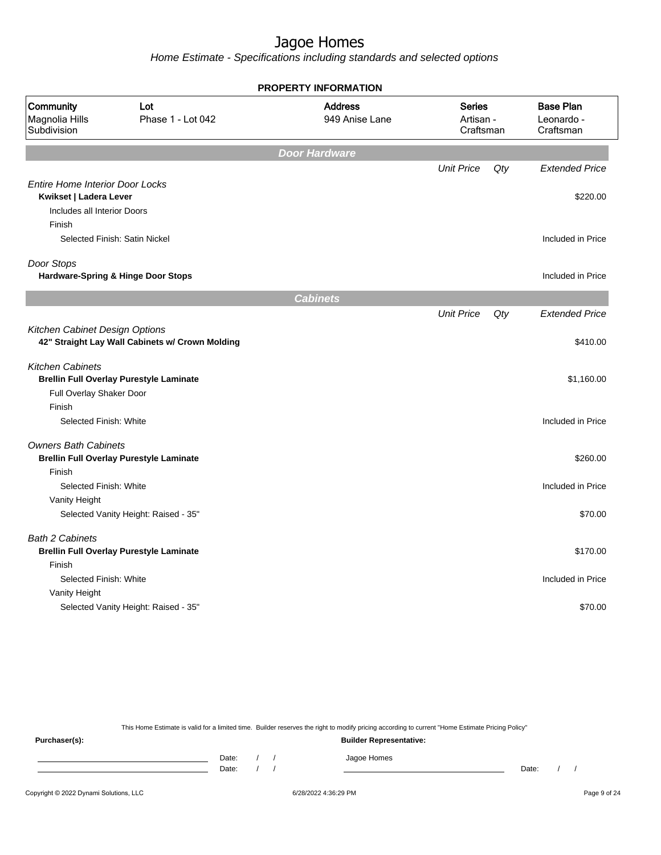Home Estimate - Specifications including standards and selected options

|                                                                                                 |                                                 | <b>PROPERTY INFORMATION</b>      |                                         |     |                                             |
|-------------------------------------------------------------------------------------------------|-------------------------------------------------|----------------------------------|-----------------------------------------|-----|---------------------------------------------|
| Community<br>Magnolia Hills<br>Subdivision                                                      | Lot<br>Phase 1 - Lot 042                        | <b>Address</b><br>949 Anise Lane | <b>Series</b><br>Artisan -<br>Craftsman |     | <b>Base Plan</b><br>Leonardo -<br>Craftsman |
|                                                                                                 |                                                 | <b>Door Hardware</b>             |                                         |     |                                             |
|                                                                                                 |                                                 |                                  | <b>Unit Price</b>                       | Qty | <b>Extended Price</b>                       |
| <b>Entire Home Interior Door Locks</b><br>Kwikset   Ladera Lever<br>Includes all Interior Doors |                                                 |                                  |                                         |     | \$220.00                                    |
| Finish                                                                                          |                                                 |                                  |                                         |     |                                             |
|                                                                                                 | Selected Finish: Satin Nickel                   |                                  |                                         |     | Included in Price                           |
| Door Stops                                                                                      |                                                 |                                  |                                         |     |                                             |
|                                                                                                 | Hardware-Spring & Hinge Door Stops              |                                  |                                         |     | Included in Price                           |
|                                                                                                 |                                                 | <b>Cabinets</b>                  |                                         |     |                                             |
|                                                                                                 |                                                 |                                  | <b>Unit Price</b>                       | Qty | <b>Extended Price</b>                       |
| Kitchen Cabinet Design Options                                                                  | 42" Straight Lay Wall Cabinets w/ Crown Molding |                                  |                                         |     | \$410.00                                    |
| <b>Kitchen Cabinets</b>                                                                         | <b>Brellin Full Overlay Purestyle Laminate</b>  |                                  |                                         |     | \$1,160.00                                  |
| Full Overlay Shaker Door                                                                        |                                                 |                                  |                                         |     |                                             |
| Finish                                                                                          |                                                 |                                  |                                         |     |                                             |
| Selected Finish: White                                                                          |                                                 |                                  |                                         |     | Included in Price                           |
| <b>Owners Bath Cabinets</b>                                                                     |                                                 |                                  |                                         |     |                                             |
|                                                                                                 | <b>Brellin Full Overlay Purestyle Laminate</b>  |                                  |                                         |     | \$260.00                                    |
| Finish<br>Selected Finish: White                                                                |                                                 |                                  |                                         |     | Included in Price                           |
| Vanity Height                                                                                   |                                                 |                                  |                                         |     |                                             |
|                                                                                                 | Selected Vanity Height: Raised - 35"            |                                  |                                         |     | \$70.00                                     |
| <b>Bath 2 Cabinets</b>                                                                          |                                                 |                                  |                                         |     |                                             |
|                                                                                                 | <b>Brellin Full Overlay Purestyle Laminate</b>  |                                  |                                         |     | \$170.00                                    |
| Finish                                                                                          |                                                 |                                  |                                         |     |                                             |
| Selected Finish: White                                                                          |                                                 |                                  |                                         |     | Included in Price                           |
| Vanity Height                                                                                   |                                                 |                                  |                                         |     |                                             |
|                                                                                                 | Selected Vanity Height: Raised - 35"            |                                  |                                         |     | \$70.00                                     |

This Home Estimate is valid for a limited time. Builder reserves the right to modify pricing according to current "Home Estimate Pricing Policy"

**Purchaser(s): Builder Representative:** Date: / / Jagoe Homes<br>Date: / / Jagoe Homes Date: / / **Date: / / 2006** Date: / / / Date: / / / Date: / / / 2006 Date: / / / 2006 Date: / / / 2006 Date: / / / 2006 Date: / / / 2007 Date: / / / 2007 Date: / / / 2007 Date: / / / 2007 Date: / / / 2007 Date: / / / 2007 D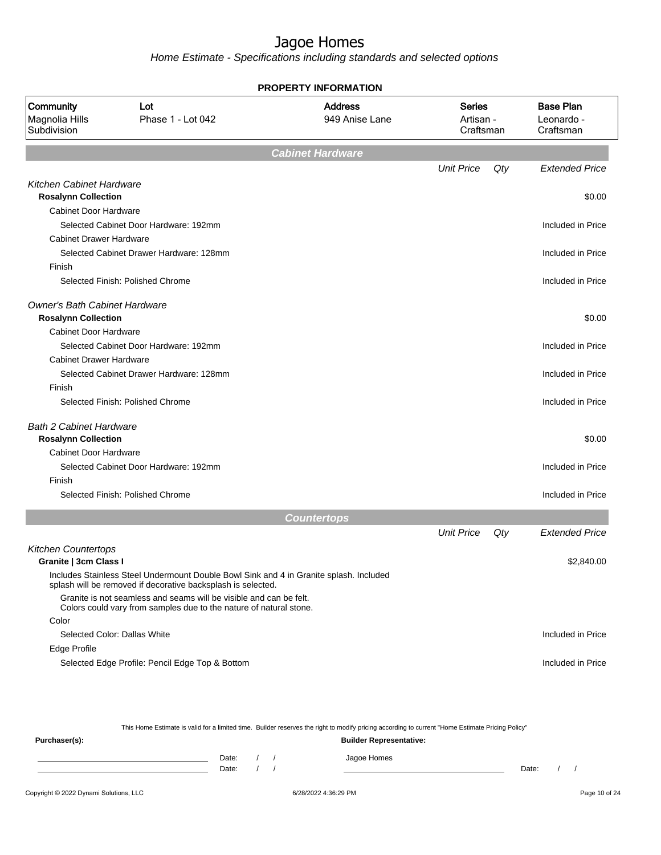Home Estimate - Specifications including standards and selected options

|                                                              | <b>PROPERTY INFORMATION</b>                                                                                                                            |                                  |                                         |     |                                             |  |  |  |  |
|--------------------------------------------------------------|--------------------------------------------------------------------------------------------------------------------------------------------------------|----------------------------------|-----------------------------------------|-----|---------------------------------------------|--|--|--|--|
| Community<br>Magnolia Hills<br>Subdivision                   | Lot<br>Phase 1 - Lot 042                                                                                                                               | <b>Address</b><br>949 Anise Lane | <b>Series</b><br>Artisan -<br>Craftsman |     | <b>Base Plan</b><br>Leonardo -<br>Craftsman |  |  |  |  |
|                                                              |                                                                                                                                                        | <b>Cabinet Hardware</b>          |                                         |     |                                             |  |  |  |  |
|                                                              |                                                                                                                                                        |                                  | <b>Unit Price</b>                       | Qty | <b>Extended Price</b>                       |  |  |  |  |
| <b>Kitchen Cabinet Hardware</b>                              |                                                                                                                                                        |                                  |                                         |     |                                             |  |  |  |  |
| <b>Rosalynn Collection</b>                                   |                                                                                                                                                        |                                  |                                         |     | \$0.00                                      |  |  |  |  |
| <b>Cabinet Door Hardware</b>                                 |                                                                                                                                                        |                                  |                                         |     |                                             |  |  |  |  |
|                                                              | Selected Cabinet Door Hardware: 192mm                                                                                                                  |                                  |                                         |     | Included in Price                           |  |  |  |  |
| <b>Cabinet Drawer Hardware</b>                               |                                                                                                                                                        |                                  |                                         |     |                                             |  |  |  |  |
|                                                              | Selected Cabinet Drawer Hardware: 128mm                                                                                                                |                                  |                                         |     | Included in Price                           |  |  |  |  |
| Finish                                                       |                                                                                                                                                        |                                  |                                         |     |                                             |  |  |  |  |
|                                                              | Selected Finish: Polished Chrome                                                                                                                       |                                  |                                         |     | Included in Price                           |  |  |  |  |
| <b>Owner's Bath Cabinet Hardware</b>                         |                                                                                                                                                        |                                  |                                         |     |                                             |  |  |  |  |
| <b>Rosalynn Collection</b>                                   |                                                                                                                                                        |                                  |                                         |     | \$0.00                                      |  |  |  |  |
| Cabinet Door Hardware                                        |                                                                                                                                                        |                                  |                                         |     |                                             |  |  |  |  |
|                                                              | Selected Cabinet Door Hardware: 192mm                                                                                                                  |                                  |                                         |     | Included in Price                           |  |  |  |  |
| <b>Cabinet Drawer Hardware</b>                               |                                                                                                                                                        |                                  |                                         |     |                                             |  |  |  |  |
|                                                              | Selected Cabinet Drawer Hardware: 128mm                                                                                                                |                                  |                                         |     | Included in Price                           |  |  |  |  |
| Finish                                                       |                                                                                                                                                        |                                  |                                         |     |                                             |  |  |  |  |
|                                                              | Selected Finish: Polished Chrome                                                                                                                       |                                  |                                         |     | Included in Price                           |  |  |  |  |
| <b>Bath 2 Cabinet Hardware</b><br><b>Rosalynn Collection</b> |                                                                                                                                                        |                                  |                                         |     | \$0.00                                      |  |  |  |  |
| Cabinet Door Hardware                                        |                                                                                                                                                        |                                  |                                         |     |                                             |  |  |  |  |
|                                                              | Selected Cabinet Door Hardware: 192mm                                                                                                                  |                                  |                                         |     | Included in Price                           |  |  |  |  |
| Finish                                                       |                                                                                                                                                        |                                  |                                         |     |                                             |  |  |  |  |
|                                                              | Selected Finish: Polished Chrome                                                                                                                       |                                  |                                         |     | Included in Price                           |  |  |  |  |
|                                                              |                                                                                                                                                        | <b>Countertops</b>               |                                         |     |                                             |  |  |  |  |
|                                                              |                                                                                                                                                        |                                  | <b>Unit Price</b>                       |     |                                             |  |  |  |  |
|                                                              |                                                                                                                                                        |                                  |                                         | Qty | <b>Extended Price</b>                       |  |  |  |  |
| <b>Kitchen Countertops</b>                                   |                                                                                                                                                        |                                  |                                         |     |                                             |  |  |  |  |
| Granite   3cm Class I                                        |                                                                                                                                                        |                                  |                                         |     | \$2,840.00                                  |  |  |  |  |
|                                                              | Includes Stainless Steel Undermount Double Bowl Sink and 4 in Granite splash. Included<br>splash will be removed if decorative backsplash is selected. |                                  |                                         |     |                                             |  |  |  |  |
|                                                              | Granite is not seamless and seams will be visible and can be felt.<br>Colors could vary from samples due to the nature of natural stone.               |                                  |                                         |     |                                             |  |  |  |  |
| Color                                                        |                                                                                                                                                        |                                  |                                         |     |                                             |  |  |  |  |
|                                                              | Selected Color: Dallas White                                                                                                                           |                                  |                                         |     | Included in Price                           |  |  |  |  |
| Edge Profile                                                 |                                                                                                                                                        |                                  |                                         |     |                                             |  |  |  |  |
|                                                              | Selected Edge Profile: Pencil Edge Top & Bottom                                                                                                        |                                  |                                         |     | Included in Price                           |  |  |  |  |

This Home Estimate is valid for a limited time. Builder reserves the right to modify pricing according to current "Home Estimate Pricing Policy"

**Purchaser(s): Builder Representative:** Date: / / Jagoe Homes<br>Date: / / Jagoe Homes Date: / / Date: / /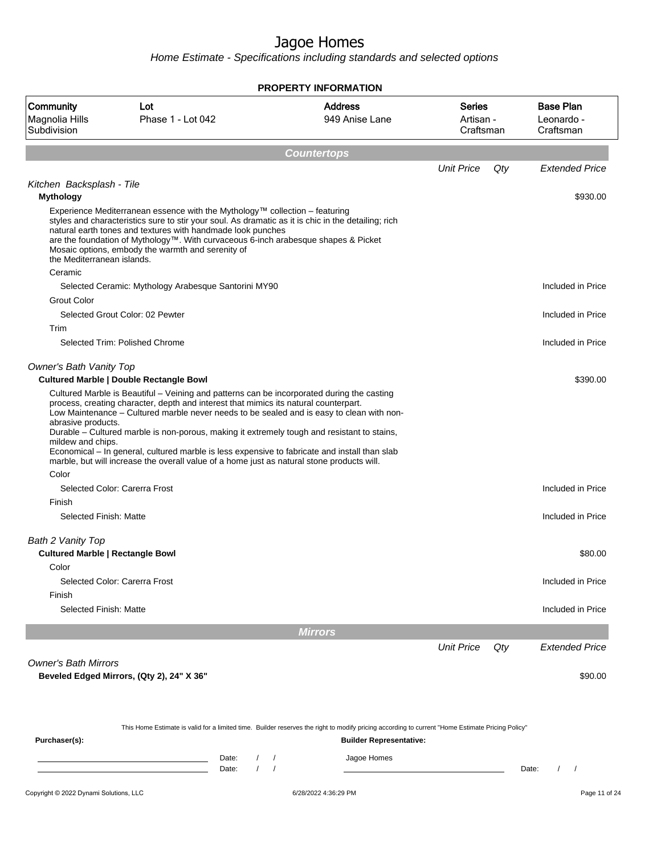|                                                              |                                                                                                                                                                                                                                                                                                                                                                                                                                                                                 | <b>PROPERTY INFORMATION</b>      |                                         |                                             |
|--------------------------------------------------------------|---------------------------------------------------------------------------------------------------------------------------------------------------------------------------------------------------------------------------------------------------------------------------------------------------------------------------------------------------------------------------------------------------------------------------------------------------------------------------------|----------------------------------|-----------------------------------------|---------------------------------------------|
| Community<br>Magnolia Hills<br>Subdivision                   | Lot<br>Phase 1 - Lot 042                                                                                                                                                                                                                                                                                                                                                                                                                                                        | <b>Address</b><br>949 Anise Lane | <b>Series</b><br>Artisan -<br>Craftsman | <b>Base Plan</b><br>Leonardo -<br>Craftsman |
|                                                              |                                                                                                                                                                                                                                                                                                                                                                                                                                                                                 | <b>Countertops</b>               |                                         |                                             |
|                                                              |                                                                                                                                                                                                                                                                                                                                                                                                                                                                                 |                                  | <b>Unit Price</b><br>Qty                | <b>Extended Price</b>                       |
| Kitchen Backsplash - Tile<br><b>Mythology</b>                |                                                                                                                                                                                                                                                                                                                                                                                                                                                                                 |                                  |                                         | \$930.00                                    |
| the Mediterranean islands.                                   | Experience Mediterranean essence with the Mythology™ collection - featuring<br>styles and characteristics sure to stir your soul. As dramatic as it is chic in the detailing; rich<br>natural earth tones and textures with handmade look punches<br>are the foundation of Mythology™. With curvaceous 6-inch arabesque shapes & Picket<br>Mosaic options, embody the warmth and serenity of                                                                                    |                                  |                                         |                                             |
| Ceramic                                                      | Selected Ceramic: Mythology Arabesque Santorini MY90                                                                                                                                                                                                                                                                                                                                                                                                                            |                                  |                                         | Included in Price                           |
| <b>Grout Color</b>                                           |                                                                                                                                                                                                                                                                                                                                                                                                                                                                                 |                                  |                                         |                                             |
|                                                              | Selected Grout Color: 02 Pewter                                                                                                                                                                                                                                                                                                                                                                                                                                                 |                                  |                                         | Included in Price                           |
| Trim                                                         |                                                                                                                                                                                                                                                                                                                                                                                                                                                                                 |                                  |                                         |                                             |
|                                                              | Selected Trim: Polished Chrome                                                                                                                                                                                                                                                                                                                                                                                                                                                  |                                  |                                         | Included in Price                           |
| <b>Owner's Bath Vanity Top</b>                               | <b>Cultured Marble   Double Rectangle Bowl</b>                                                                                                                                                                                                                                                                                                                                                                                                                                  |                                  |                                         | \$390.00                                    |
| abrasive products.<br>mildew and chips.<br>Color             | process, creating character, depth and interest that mimics its natural counterpart.<br>Low Maintenance - Cultured marble never needs to be sealed and is easy to clean with non-<br>Durable - Cultured marble is non-porous, making it extremely tough and resistant to stains,<br>Economical - In general, cultured marble is less expensive to fabricate and install than slab<br>marble, but will increase the overall value of a home just as natural stone products will. |                                  |                                         |                                             |
|                                                              | Selected Color: Carerra Frost                                                                                                                                                                                                                                                                                                                                                                                                                                                   |                                  |                                         | Included in Price                           |
| Finish                                                       |                                                                                                                                                                                                                                                                                                                                                                                                                                                                                 |                                  |                                         |                                             |
| Selected Finish: Matte                                       |                                                                                                                                                                                                                                                                                                                                                                                                                                                                                 |                                  |                                         | Included in Price                           |
| Bath 2 Vanity Top<br><b>Cultured Marble   Rectangle Bowl</b> |                                                                                                                                                                                                                                                                                                                                                                                                                                                                                 |                                  |                                         | \$80.00                                     |
| Color                                                        |                                                                                                                                                                                                                                                                                                                                                                                                                                                                                 |                                  |                                         |                                             |
|                                                              | Selected Color: Carerra Frost                                                                                                                                                                                                                                                                                                                                                                                                                                                   |                                  |                                         | Included in Price                           |
| Finish<br>Selected Finish: Matte                             |                                                                                                                                                                                                                                                                                                                                                                                                                                                                                 |                                  |                                         | Included in Price                           |
|                                                              |                                                                                                                                                                                                                                                                                                                                                                                                                                                                                 |                                  |                                         |                                             |
|                                                              |                                                                                                                                                                                                                                                                                                                                                                                                                                                                                 | <b>Mirrors</b>                   |                                         |                                             |
|                                                              |                                                                                                                                                                                                                                                                                                                                                                                                                                                                                 |                                  | <b>Unit Price</b><br>Qty                | <b>Extended Price</b>                       |
| <b>Owner's Bath Mirrors</b>                                  | Beveled Edged Mirrors, (Qty 2), 24" X 36"                                                                                                                                                                                                                                                                                                                                                                                                                                       |                                  |                                         | \$90.00                                     |
|                                                              | This Home Estimate is valid for a limited time. Builder reserves the right to modify pricing according to current "Home Estimate Pricing Policy"                                                                                                                                                                                                                                                                                                                                |                                  |                                         |                                             |
| Purchaser(s):                                                |                                                                                                                                                                                                                                                                                                                                                                                                                                                                                 | <b>Builder Representative:</b>   |                                         |                                             |
|                                                              | Date:<br>Date:                                                                                                                                                                                                                                                                                                                                                                                                                                                                  | Jagoe Homes                      |                                         | $\prime$<br>$\sqrt{ }$<br>Date:             |
| Copyright © 2022 Dynami Solutions, LLC                       |                                                                                                                                                                                                                                                                                                                                                                                                                                                                                 | 6/28/2022 4:36:29 PM             |                                         | Page 11 of 24                               |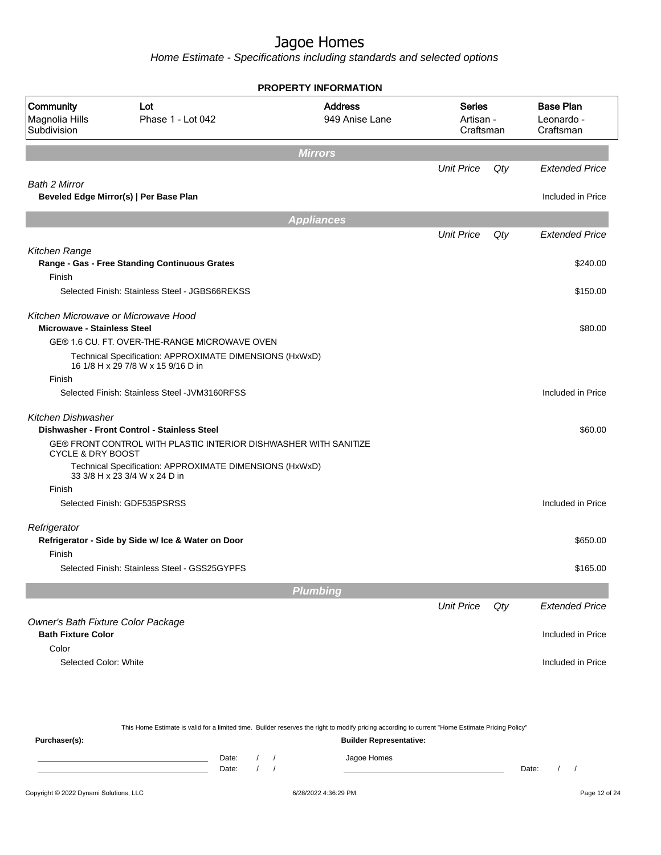| Lot<br>Phase 1 - Lot 042 | <b>Address</b><br>949 Anise Lane                                                                                                                                                                                                                                                                                                                                                                                                                                                                                                                                                                                                      | <b>Series</b>                                                                                                                                                                                                                           |     | <b>Base Plan</b><br>Leonardo -<br>Craftsman |
|--------------------------|---------------------------------------------------------------------------------------------------------------------------------------------------------------------------------------------------------------------------------------------------------------------------------------------------------------------------------------------------------------------------------------------------------------------------------------------------------------------------------------------------------------------------------------------------------------------------------------------------------------------------------------|-----------------------------------------------------------------------------------------------------------------------------------------------------------------------------------------------------------------------------------------|-----|---------------------------------------------|
|                          | <b>Mirrors</b>                                                                                                                                                                                                                                                                                                                                                                                                                                                                                                                                                                                                                        |                                                                                                                                                                                                                                         |     |                                             |
|                          |                                                                                                                                                                                                                                                                                                                                                                                                                                                                                                                                                                                                                                       | <b>Unit Price</b>                                                                                                                                                                                                                       | Qty | <b>Extended Price</b>                       |
|                          |                                                                                                                                                                                                                                                                                                                                                                                                                                                                                                                                                                                                                                       |                                                                                                                                                                                                                                         |     |                                             |
|                          |                                                                                                                                                                                                                                                                                                                                                                                                                                                                                                                                                                                                                                       |                                                                                                                                                                                                                                         |     | Included in Price                           |
|                          | <b>Appliances</b>                                                                                                                                                                                                                                                                                                                                                                                                                                                                                                                                                                                                                     |                                                                                                                                                                                                                                         |     |                                             |
|                          |                                                                                                                                                                                                                                                                                                                                                                                                                                                                                                                                                                                                                                       | <b>Unit Price</b>                                                                                                                                                                                                                       | Qty | <b>Extended Price</b>                       |
|                          |                                                                                                                                                                                                                                                                                                                                                                                                                                                                                                                                                                                                                                       |                                                                                                                                                                                                                                         |     |                                             |
|                          |                                                                                                                                                                                                                                                                                                                                                                                                                                                                                                                                                                                                                                       |                                                                                                                                                                                                                                         |     | \$240.00                                    |
|                          |                                                                                                                                                                                                                                                                                                                                                                                                                                                                                                                                                                                                                                       |                                                                                                                                                                                                                                         |     |                                             |
|                          |                                                                                                                                                                                                                                                                                                                                                                                                                                                                                                                                                                                                                                       |                                                                                                                                                                                                                                         |     | \$150.00                                    |
|                          |                                                                                                                                                                                                                                                                                                                                                                                                                                                                                                                                                                                                                                       |                                                                                                                                                                                                                                         |     |                                             |
|                          |                                                                                                                                                                                                                                                                                                                                                                                                                                                                                                                                                                                                                                       |                                                                                                                                                                                                                                         |     | \$80.00                                     |
|                          |                                                                                                                                                                                                                                                                                                                                                                                                                                                                                                                                                                                                                                       |                                                                                                                                                                                                                                         |     |                                             |
|                          |                                                                                                                                                                                                                                                                                                                                                                                                                                                                                                                                                                                                                                       |                                                                                                                                                                                                                                         |     |                                             |
|                          |                                                                                                                                                                                                                                                                                                                                                                                                                                                                                                                                                                                                                                       |                                                                                                                                                                                                                                         |     |                                             |
|                          |                                                                                                                                                                                                                                                                                                                                                                                                                                                                                                                                                                                                                                       |                                                                                                                                                                                                                                         |     | Included in Price                           |
|                          |                                                                                                                                                                                                                                                                                                                                                                                                                                                                                                                                                                                                                                       |                                                                                                                                                                                                                                         |     | \$60.00                                     |
|                          |                                                                                                                                                                                                                                                                                                                                                                                                                                                                                                                                                                                                                                       |                                                                                                                                                                                                                                         |     |                                             |
|                          |                                                                                                                                                                                                                                                                                                                                                                                                                                                                                                                                                                                                                                       |                                                                                                                                                                                                                                         |     |                                             |
|                          |                                                                                                                                                                                                                                                                                                                                                                                                                                                                                                                                                                                                                                       |                                                                                                                                                                                                                                         |     |                                             |
|                          |                                                                                                                                                                                                                                                                                                                                                                                                                                                                                                                                                                                                                                       |                                                                                                                                                                                                                                         |     | Included in Price                           |
|                          |                                                                                                                                                                                                                                                                                                                                                                                                                                                                                                                                                                                                                                       |                                                                                                                                                                                                                                         |     |                                             |
|                          |                                                                                                                                                                                                                                                                                                                                                                                                                                                                                                                                                                                                                                       |                                                                                                                                                                                                                                         |     | \$650.00                                    |
|                          |                                                                                                                                                                                                                                                                                                                                                                                                                                                                                                                                                                                                                                       |                                                                                                                                                                                                                                         |     |                                             |
|                          |                                                                                                                                                                                                                                                                                                                                                                                                                                                                                                                                                                                                                                       |                                                                                                                                                                                                                                         |     | \$165.00                                    |
|                          | <b>Plumbing</b>                                                                                                                                                                                                                                                                                                                                                                                                                                                                                                                                                                                                                       |                                                                                                                                                                                                                                         |     |                                             |
|                          |                                                                                                                                                                                                                                                                                                                                                                                                                                                                                                                                                                                                                                       | <b>Unit Price</b>                                                                                                                                                                                                                       | Qty | <b>Extended Price</b>                       |
|                          |                                                                                                                                                                                                                                                                                                                                                                                                                                                                                                                                                                                                                                       |                                                                                                                                                                                                                                         |     | Included in Price                           |
|                          |                                                                                                                                                                                                                                                                                                                                                                                                                                                                                                                                                                                                                                       |                                                                                                                                                                                                                                         |     |                                             |
|                          |                                                                                                                                                                                                                                                                                                                                                                                                                                                                                                                                                                                                                                       |                                                                                                                                                                                                                                         |     | Included in Price                           |
|                          |                                                                                                                                                                                                                                                                                                                                                                                                                                                                                                                                                                                                                                       |                                                                                                                                                                                                                                         |     |                                             |
|                          | Beveled Edge Mirror(s)   Per Base Plan<br>Range - Gas - Free Standing Continuous Grates<br>Selected Finish: Stainless Steel - JGBS66REKSS<br>Kitchen Microwave or Microwave Hood<br><b>Microwave - Stainless Steel</b><br>16 1/8 H x 29 7/8 W x 15 9/16 D in<br>Selected Finish: Stainless Steel - JVM3160RFSS<br>Dishwasher - Front Control - Stainless Steel<br><b>CYCLE &amp; DRY BOOST</b><br>33 3/8 H x 23 3/4 W x 24 D in<br>Selected Finish: GDF535PSRSS<br>Refrigerator - Side by Side w/ Ice & Water on Door<br>Selected Finish: Stainless Steel - GSS25GYPFS<br>Owner's Bath Fixture Color Package<br>Selected Color: White | GE® 1.6 CU. FT. OVER-THE-RANGE MICROWAVE OVEN<br>Technical Specification: APPROXIMATE DIMENSIONS (HxWxD)<br>GE® FRONT CONTROL WITH PLASTIC INTERIOR DISHWASHER WITH SANITIZE<br>Technical Specification: APPROXIMATE DIMENSIONS (HxWxD) |     | Artisan -<br>Craftsman                      |

|                                        |                |  | This Home Estimate is valid for a limited time. Builder reserves the right to modify pricing according to current "Home Estimate Pricing Policy" |       |  |               |
|----------------------------------------|----------------|--|--------------------------------------------------------------------------------------------------------------------------------------------------|-------|--|---------------|
| Purchaser(s):                          |                |  | <b>Builder Representative:</b>                                                                                                                   |       |  |               |
|                                        | Date:<br>Date: |  | Jagoe Homes                                                                                                                                      | Date: |  |               |
| Copyright © 2022 Dynami Solutions, LLC |                |  | 6/28/2022 4:36:29 PM                                                                                                                             |       |  | Page 12 of 24 |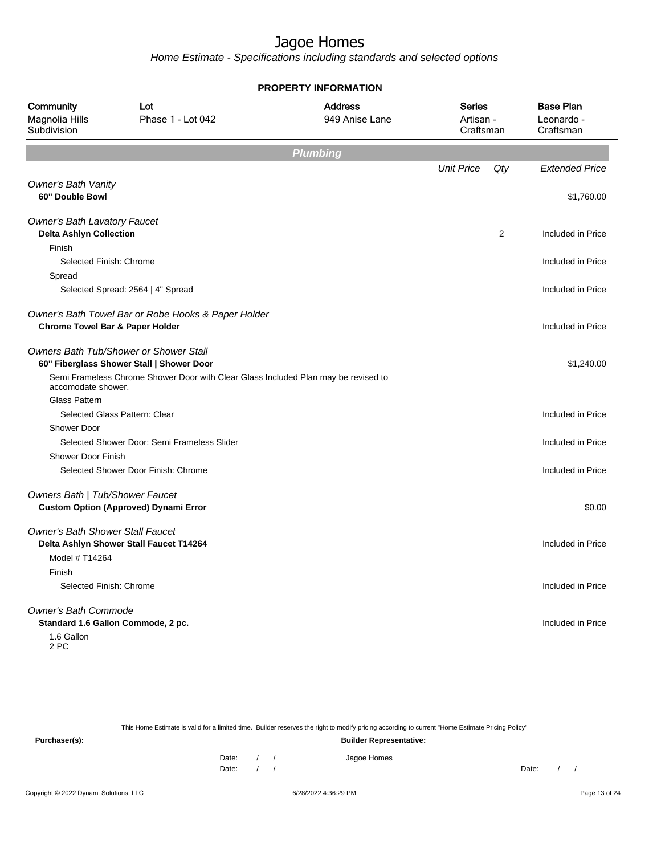Home Estimate - Specifications including standards and selected options

| Community<br>Magnolia Hills<br>Subdivision                                              | Lot<br>Phase 1 - Lot 042                                                            | <b>Address</b><br>949 Anise Lane | <b>Series</b><br>Artisan -<br>Craftsman | <b>Base Plan</b><br>Leonardo -<br>Craftsman |
|-----------------------------------------------------------------------------------------|-------------------------------------------------------------------------------------|----------------------------------|-----------------------------------------|---------------------------------------------|
|                                                                                         |                                                                                     | <b>Plumbing</b>                  |                                         |                                             |
|                                                                                         |                                                                                     |                                  | <b>Unit Price</b><br>Qty                | <b>Extended Price</b>                       |
| <b>Owner's Bath Vanity</b><br>60" Double Bowl                                           |                                                                                     |                                  |                                         | \$1,760.00                                  |
| <b>Owner's Bath Lavatory Faucet</b><br><b>Delta Ashlyn Collection</b>                   |                                                                                     |                                  | 2                                       | Included in Price                           |
| Finish                                                                                  |                                                                                     |                                  |                                         |                                             |
| Selected Finish: Chrome                                                                 |                                                                                     |                                  |                                         | Included in Price                           |
| Spread                                                                                  | Selected Spread: 2564   4" Spread                                                   |                                  |                                         | Included in Price                           |
| <b>Chrome Towel Bar &amp; Paper Holder</b>                                              | Owner's Bath Towel Bar or Robe Hooks & Paper Holder                                 |                                  |                                         | Included in Price                           |
|                                                                                         | Owners Bath Tub/Shower or Shower Stall<br>60" Fiberglass Shower Stall   Shower Door |                                  |                                         | \$1,240.00                                  |
| accomodate shower.                                                                      | Semi Frameless Chrome Shower Door with Clear Glass Included Plan may be revised to  |                                  |                                         |                                             |
| <b>Glass Pattern</b>                                                                    |                                                                                     |                                  |                                         |                                             |
| Selected Glass Pattern: Clear                                                           |                                                                                     |                                  |                                         | Included in Price                           |
| <b>Shower Door</b>                                                                      |                                                                                     |                                  |                                         |                                             |
|                                                                                         | Selected Shower Door: Semi Frameless Slider                                         |                                  |                                         | Included in Price                           |
| <b>Shower Door Finish</b>                                                               |                                                                                     |                                  |                                         |                                             |
|                                                                                         | Selected Shower Door Finish: Chrome                                                 |                                  |                                         | Included in Price                           |
| Owners Bath   Tub/Shower Faucet                                                         | <b>Custom Option (Approved) Dynami Error</b>                                        |                                  |                                         | \$0.00                                      |
| <b>Owner's Bath Shower Stall Faucet</b><br>Model # T14264                               | Delta Ashlyn Shower Stall Faucet T14264                                             |                                  |                                         | Included in Price                           |
| Finish<br>Selected Finish: Chrome                                                       |                                                                                     |                                  |                                         | Included in Price                           |
| <b>Owner's Bath Commode</b><br>Standard 1.6 Gallon Commode, 2 pc.<br>1.6 Gallon<br>2 PC |                                                                                     |                                  |                                         | Included in Price                           |

**PROPERTY INFORMATION**

This Home Estimate is valid for a limited time. Builder reserves the right to modify pricing according to current "Home Estimate Pricing Policy" **Purchaser(s): Builder Representative:** Date: / / Jagoe Homes<br>Date: / / Jagoe Homes Date: / / Date: / /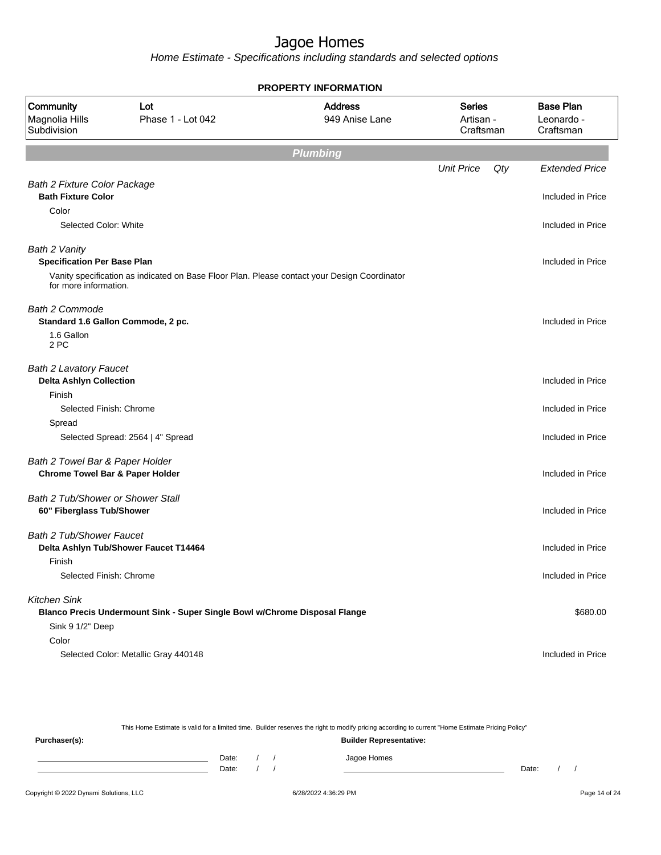Home Estimate - Specifications including standards and selected options

| <b>PROPERTY INFORMATION</b>                                                   |                                                                                              |                                  |                                         |     |                                             |  |  |  |
|-------------------------------------------------------------------------------|----------------------------------------------------------------------------------------------|----------------------------------|-----------------------------------------|-----|---------------------------------------------|--|--|--|
| Community<br>Magnolia Hills<br>Subdivision                                    | Lot<br>Phase 1 - Lot 042                                                                     | <b>Address</b><br>949 Anise Lane | <b>Series</b><br>Artisan -<br>Craftsman |     | <b>Base Plan</b><br>Leonardo -<br>Craftsman |  |  |  |
|                                                                               |                                                                                              | <b>Plumbing</b>                  |                                         |     |                                             |  |  |  |
|                                                                               |                                                                                              |                                  | <b>Unit Price</b>                       | Qty | <b>Extended Price</b>                       |  |  |  |
| <b>Bath 2 Fixture Color Package</b><br><b>Bath Fixture Color</b>              |                                                                                              |                                  |                                         |     | Included in Price                           |  |  |  |
| Color                                                                         |                                                                                              |                                  |                                         |     |                                             |  |  |  |
| Selected Color: White                                                         |                                                                                              |                                  |                                         |     | Included in Price                           |  |  |  |
| Bath 2 Vanity<br><b>Specification Per Base Plan</b>                           |                                                                                              |                                  |                                         |     | Included in Price                           |  |  |  |
| for more information.                                                         | Vanity specification as indicated on Base Floor Plan. Please contact your Design Coordinator |                                  |                                         |     |                                             |  |  |  |
| <b>Bath 2 Commode</b>                                                         | Standard 1.6 Gallon Commode, 2 pc.                                                           |                                  |                                         |     | Included in Price                           |  |  |  |
| 1.6 Gallon<br>2 PC                                                            |                                                                                              |                                  |                                         |     |                                             |  |  |  |
| <b>Bath 2 Lavatory Faucet</b><br><b>Delta Ashlyn Collection</b>               |                                                                                              |                                  |                                         |     | Included in Price                           |  |  |  |
| Finish                                                                        |                                                                                              |                                  |                                         |     |                                             |  |  |  |
| Selected Finish: Chrome                                                       |                                                                                              |                                  |                                         |     | Included in Price                           |  |  |  |
| Spread                                                                        |                                                                                              |                                  |                                         |     |                                             |  |  |  |
|                                                                               | Selected Spread: 2564   4" Spread                                                            |                                  |                                         |     | Included in Price                           |  |  |  |
| Bath 2 Towel Bar & Paper Holder<br><b>Chrome Towel Bar &amp; Paper Holder</b> |                                                                                              |                                  |                                         |     | Included in Price                           |  |  |  |
| Bath 2 Tub/Shower or Shower Stall<br>60" Fiberglass Tub/Shower                |                                                                                              |                                  |                                         |     | Included in Price                           |  |  |  |
| Bath 2 Tub/Shower Faucet                                                      | Delta Ashlyn Tub/Shower Faucet T14464                                                        |                                  |                                         |     | Included in Price                           |  |  |  |
| Finish<br>Selected Finish: Chrome                                             |                                                                                              |                                  |                                         |     | Included in Price                           |  |  |  |
| <b>Kitchen Sink</b><br>Sink 9 1/2" Deep                                       | Blanco Precis Undermount Sink - Super Single Bowl w/Chrome Disposal Flange                   |                                  |                                         |     | \$680.00                                    |  |  |  |
| Color                                                                         | Selected Color: Metallic Gray 440148                                                         |                                  |                                         |     | Included in Price                           |  |  |  |

This Home Estimate is valid for a limited time. Builder reserves the right to modify pricing according to current "Home Estimate Pricing Policy"

**Purchaser(s): Builder Representative:** Date: / / Jagoe Homes<br>Date: / / Jagoe Homes Date: / / **Date: / / 2006** Date: / / / Date: / / / Date: / / / 2006 Date: / / / 2006 Date: / / / 2006 Date: / / / 2006 Date: / / / 2007 Date: / / / 2007 Date: / / / 2007 Date: / / / 2007 Date: / / / 2007 Date: / / / 2007 D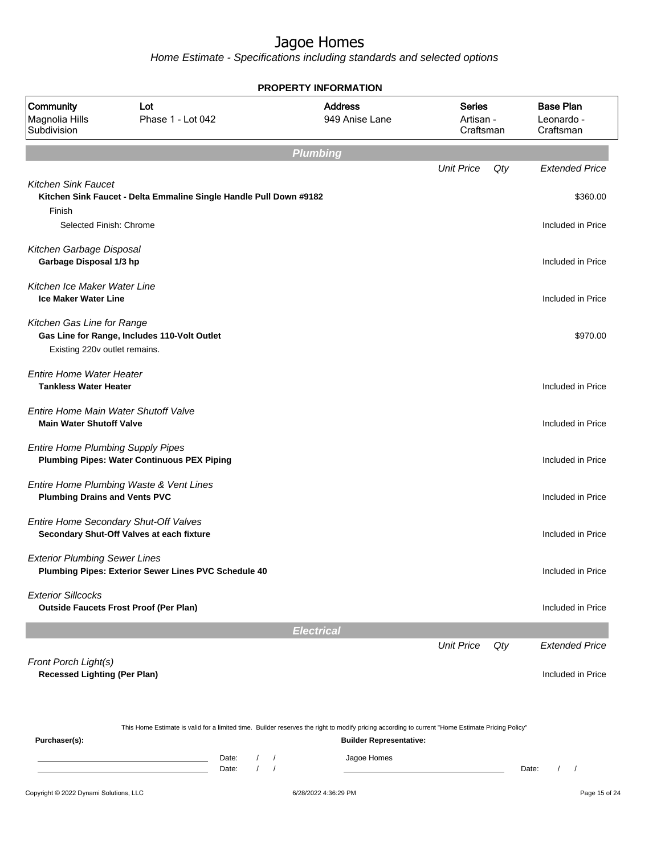|                                                                         |                                                                                    |                            | <b>PROPERTY INFORMATION</b>                                                                                                                      |                                         |     |                                             |
|-------------------------------------------------------------------------|------------------------------------------------------------------------------------|----------------------------|--------------------------------------------------------------------------------------------------------------------------------------------------|-----------------------------------------|-----|---------------------------------------------|
| Community<br>Magnolia Hills<br>Subdivision                              | Lot<br>Phase 1 - Lot 042                                                           |                            | <b>Address</b><br>949 Anise Lane                                                                                                                 | <b>Series</b><br>Artisan -<br>Craftsman |     | <b>Base Plan</b><br>Leonardo -<br>Craftsman |
|                                                                         |                                                                                    |                            | <b>Plumbing</b>                                                                                                                                  |                                         |     |                                             |
|                                                                         |                                                                                    |                            |                                                                                                                                                  | <b>Unit Price</b>                       | Qty | <b>Extended Price</b>                       |
| <b>Kitchen Sink Faucet</b><br>Finish<br>Selected Finish: Chrome         | Kitchen Sink Faucet - Delta Emmaline Single Handle Pull Down #9182                 |                            |                                                                                                                                                  |                                         |     | \$360.00<br>Included in Price               |
| Kitchen Garbage Disposal                                                |                                                                                    |                            |                                                                                                                                                  |                                         |     |                                             |
| Garbage Disposal 1/3 hp                                                 |                                                                                    |                            |                                                                                                                                                  |                                         |     | Included in Price                           |
| Kitchen Ice Maker Water Line<br><b>Ice Maker Water Line</b>             |                                                                                    |                            |                                                                                                                                                  |                                         |     | Included in Price                           |
| Kitchen Gas Line for Range<br>Existing 220v outlet remains.             | Gas Line for Range, Includes 110-Volt Outlet                                       |                            |                                                                                                                                                  |                                         |     | \$970.00                                    |
| <b>Entire Home Water Heater</b><br><b>Tankless Water Heater</b>         |                                                                                    |                            |                                                                                                                                                  |                                         |     | Included in Price                           |
| Entire Home Main Water Shutoff Valve<br><b>Main Water Shutoff Valve</b> |                                                                                    |                            |                                                                                                                                                  |                                         |     | Included in Price                           |
| <b>Entire Home Plumbing Supply Pipes</b>                                | <b>Plumbing Pipes: Water Continuous PEX Piping</b>                                 |                            |                                                                                                                                                  |                                         |     | Included in Price                           |
| <b>Plumbing Drains and Vents PVC</b>                                    | Entire Home Plumbing Waste & Vent Lines                                            |                            |                                                                                                                                                  |                                         |     | Included in Price                           |
|                                                                         | Entire Home Secondary Shut-Off Valves<br>Secondary Shut-Off Valves at each fixture |                            |                                                                                                                                                  |                                         |     | Included in Price                           |
| <b>Exterior Plumbing Sewer Lines</b>                                    | Plumbing Pipes: Exterior Sewer Lines PVC Schedule 40                               |                            |                                                                                                                                                  |                                         |     | Included in Price                           |
| <b>Exterior Sillcocks</b>                                               | <b>Outside Faucets Frost Proof (Per Plan)</b>                                      |                            |                                                                                                                                                  |                                         |     | Included in Price                           |
|                                                                         |                                                                                    |                            | <b>Electrical</b>                                                                                                                                |                                         |     |                                             |
| Front Porch Light(s)                                                    |                                                                                    |                            |                                                                                                                                                  | <b>Unit Price</b>                       | Qty | <b>Extended Price</b>                       |
| <b>Recessed Lighting (Per Plan)</b>                                     |                                                                                    |                            |                                                                                                                                                  |                                         |     | Included in Price                           |
|                                                                         |                                                                                    |                            | This Home Estimate is valid for a limited time. Builder reserves the right to modify pricing according to current "Home Estimate Pricing Policy" |                                         |     |                                             |
| Purchaser(s):                                                           |                                                                                    |                            | <b>Builder Representative:</b>                                                                                                                   |                                         |     |                                             |
|                                                                         |                                                                                    | Date:<br>$\prime$<br>Date: | Jagoe Homes                                                                                                                                      |                                         |     | Date:<br>$\prime$                           |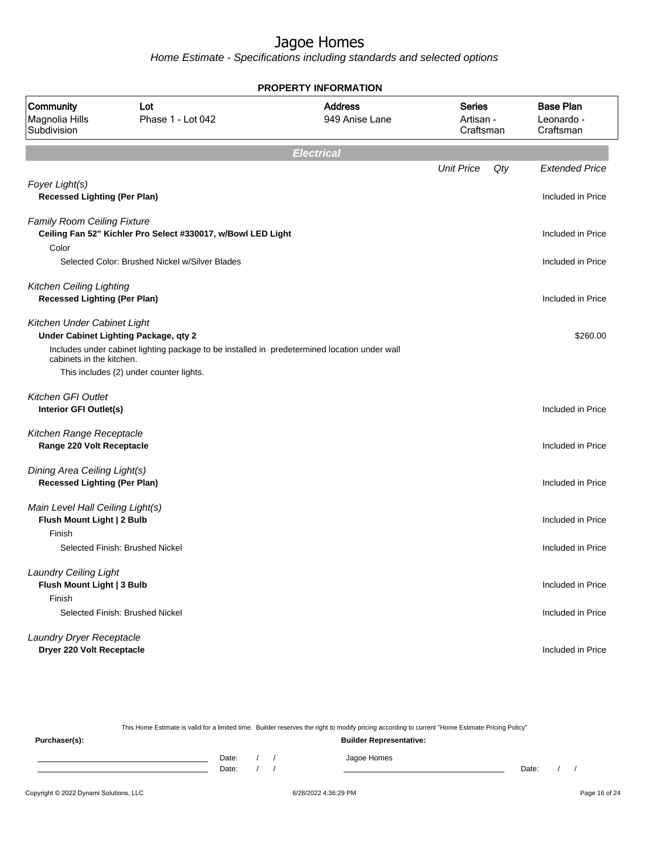Home Estimate - Specifications including standards and selected options

| <b>PROPERTY INFORMATION</b>                                         |                                                                                              |                                  |                                         |                                             |  |  |  |  |
|---------------------------------------------------------------------|----------------------------------------------------------------------------------------------|----------------------------------|-----------------------------------------|---------------------------------------------|--|--|--|--|
| Community<br>Magnolia Hills<br>Subdivision                          | Lot<br>Phase 1 - Lot 042                                                                     | <b>Address</b><br>949 Anise Lane | <b>Series</b><br>Artisan -<br>Craftsman | <b>Base Plan</b><br>Leonardo -<br>Craftsman |  |  |  |  |
|                                                                     |                                                                                              | <b>Electrical</b>                |                                         |                                             |  |  |  |  |
|                                                                     |                                                                                              |                                  | <b>Unit Price</b><br>Qty                | <b>Extended Price</b>                       |  |  |  |  |
| Foyer Light(s)<br><b>Recessed Lighting (Per Plan)</b>               |                                                                                              |                                  |                                         | Included in Price                           |  |  |  |  |
| <b>Family Room Ceiling Fixture</b>                                  | Ceiling Fan 52" Kichler Pro Select #330017, w/Bowl LED Light                                 |                                  |                                         | Included in Price                           |  |  |  |  |
| Color                                                               |                                                                                              |                                  |                                         |                                             |  |  |  |  |
|                                                                     | Selected Color: Brushed Nickel w/Silver Blades                                               |                                  |                                         | Included in Price                           |  |  |  |  |
| Kitchen Ceiling Lighting<br><b>Recessed Lighting (Per Plan)</b>     |                                                                                              |                                  |                                         | Included in Price                           |  |  |  |  |
| Kitchen Under Cabinet Light                                         | Under Cabinet Lighting Package, qty 2                                                        |                                  |                                         | \$260.00                                    |  |  |  |  |
| cabinets in the kitchen.                                            | Includes under cabinet lighting package to be installed in predetermined location under wall |                                  |                                         |                                             |  |  |  |  |
|                                                                     | This includes (2) under counter lights.                                                      |                                  |                                         |                                             |  |  |  |  |
| <b>Kitchen GFI Outlet</b>                                           |                                                                                              |                                  |                                         |                                             |  |  |  |  |
| Interior GFI Outlet(s)                                              |                                                                                              |                                  |                                         | Included in Price                           |  |  |  |  |
| Kitchen Range Receptacle<br>Range 220 Volt Receptacle               |                                                                                              |                                  |                                         | Included in Price                           |  |  |  |  |
| Dining Area Ceiling Light(s)<br><b>Recessed Lighting (Per Plan)</b> |                                                                                              |                                  |                                         | Included in Price                           |  |  |  |  |
|                                                                     |                                                                                              |                                  |                                         |                                             |  |  |  |  |
| Main Level Hall Ceiling Light(s)<br>Flush Mount Light   2 Bulb      |                                                                                              |                                  |                                         | Included in Price                           |  |  |  |  |
| Finish                                                              | Selected Finish: Brushed Nickel                                                              |                                  |                                         | Included in Price                           |  |  |  |  |
| Laundry Ceiling Light                                               |                                                                                              |                                  |                                         |                                             |  |  |  |  |
| Flush Mount Light   3 Bulb<br>Finish                                |                                                                                              |                                  |                                         | Included in Price                           |  |  |  |  |
|                                                                     | Selected Finish: Brushed Nickel                                                              |                                  |                                         | Included in Price                           |  |  |  |  |
| Laundry Dryer Receptacle<br>Dryer 220 Volt Receptacle               |                                                                                              |                                  |                                         | Included in Price                           |  |  |  |  |

This Home Estimate is valid for a limited time. Builder reserves the right to modify pricing according to current "Home Estimate Pricing Policy" **Purchaser(s): Builder Representative:** Date: / / Jagoe Homes<br>Date: / / Jagoe Homes Date: / / **Date: / / 2006** Date: / / / Date: / / / Date: / / / 2006 Date: / / / 2006 Date: / / / 2006 Date: / / / 2006 Date: / / / 2007 Date: / / / 2007 Date: / / / 2007 Date: / / / 2007 Date: / / / 2007 Date: / / / 2007 D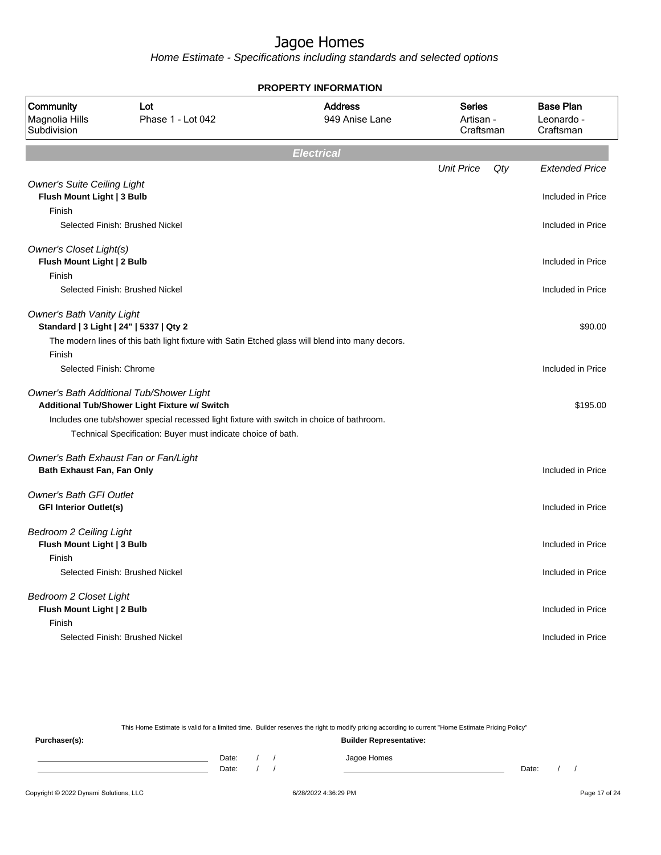Home Estimate - Specifications including standards and selected options

|                                                                  |                                                                                                                                                           | <b>PROPERTY INFORMATION</b>      |                                         |     |                                             |
|------------------------------------------------------------------|-----------------------------------------------------------------------------------------------------------------------------------------------------------|----------------------------------|-----------------------------------------|-----|---------------------------------------------|
| Community<br>Magnolia Hills<br>Subdivision                       | Lot<br>Phase 1 - Lot 042                                                                                                                                  | <b>Address</b><br>949 Anise Lane | <b>Series</b><br>Artisan -<br>Craftsman |     | <b>Base Plan</b><br>Leonardo -<br>Craftsman |
|                                                                  |                                                                                                                                                           | <b>Electrical</b>                |                                         |     |                                             |
|                                                                  |                                                                                                                                                           |                                  | <b>Unit Price</b>                       | Qty | <b>Extended Price</b>                       |
| <b>Owner's Suite Ceiling Light</b><br>Flush Mount Light   3 Bulb |                                                                                                                                                           |                                  |                                         |     | Included in Price                           |
| Finish                                                           |                                                                                                                                                           |                                  |                                         |     |                                             |
|                                                                  | Selected Finish: Brushed Nickel                                                                                                                           |                                  |                                         |     | Included in Price                           |
| Owner's Closet Light(s)                                          |                                                                                                                                                           |                                  |                                         |     |                                             |
| Flush Mount Light   2 Bulb<br>Finish                             |                                                                                                                                                           |                                  |                                         |     | Included in Price                           |
|                                                                  | Selected Finish: Brushed Nickel                                                                                                                           |                                  |                                         |     | Included in Price                           |
| <b>Owner's Bath Vanity Light</b>                                 | Standard   3 Light   24"   5337   Qty 2                                                                                                                   |                                  |                                         |     | \$90.00                                     |
|                                                                  | The modern lines of this bath light fixture with Satin Etched glass will blend into many decors.                                                          |                                  |                                         |     |                                             |
| Finish                                                           |                                                                                                                                                           |                                  |                                         |     |                                             |
| Selected Finish: Chrome                                          |                                                                                                                                                           |                                  |                                         |     | Included in Price                           |
|                                                                  | Owner's Bath Additional Tub/Shower Light<br>Additional Tub/Shower Light Fixture w/ Switch                                                                 |                                  |                                         |     | \$195.00                                    |
|                                                                  | Includes one tub/shower special recessed light fixture with switch in choice of bathroom.<br>Technical Specification: Buyer must indicate choice of bath. |                                  |                                         |     |                                             |
|                                                                  | Owner's Bath Exhaust Fan or Fan/Light                                                                                                                     |                                  |                                         |     |                                             |
| Bath Exhaust Fan, Fan Only                                       |                                                                                                                                                           |                                  |                                         |     | Included in Price                           |
| <b>Owner's Bath GFI Outlet</b>                                   |                                                                                                                                                           |                                  |                                         |     |                                             |
| <b>GFI Interior Outlet(s)</b>                                    |                                                                                                                                                           |                                  |                                         |     | Included in Price                           |
| <b>Bedroom 2 Ceiling Light</b>                                   |                                                                                                                                                           |                                  |                                         |     |                                             |
| Flush Mount Light   3 Bulb                                       |                                                                                                                                                           |                                  |                                         |     | Included in Price                           |
| Finish                                                           | Selected Finish: Brushed Nickel                                                                                                                           |                                  |                                         |     | Included in Price                           |
|                                                                  |                                                                                                                                                           |                                  |                                         |     |                                             |
| <b>Bedroom 2 Closet Light</b>                                    |                                                                                                                                                           |                                  |                                         |     |                                             |
| Flush Mount Light   2 Bulb                                       |                                                                                                                                                           |                                  |                                         |     | Included in Price                           |
| Finish                                                           | Selected Finish: Brushed Nickel                                                                                                                           |                                  |                                         |     |                                             |
|                                                                  |                                                                                                                                                           |                                  |                                         |     | Included in Price                           |
|                                                                  |                                                                                                                                                           |                                  |                                         |     |                                             |

This Home Estimate is valid for a limited time. Builder reserves the right to modify pricing according to current "Home Estimate Pricing Policy"

**Purchaser(s): Builder Representative:** Date: / / Jagoe Homes<br>Date: / / Jagoe Homes Date: / / **Date: / / 2006** Date: / / **Date: / / / 2006** Date: / / / 2006 Date: / / / 2006 Date: / / / 2006 Date: / / / 2007 Date: / / / 2007 Date: / / / 2008 Date: / / / 2008 Date: / / / 2008 Date: / / / 2008 Date: / / / 2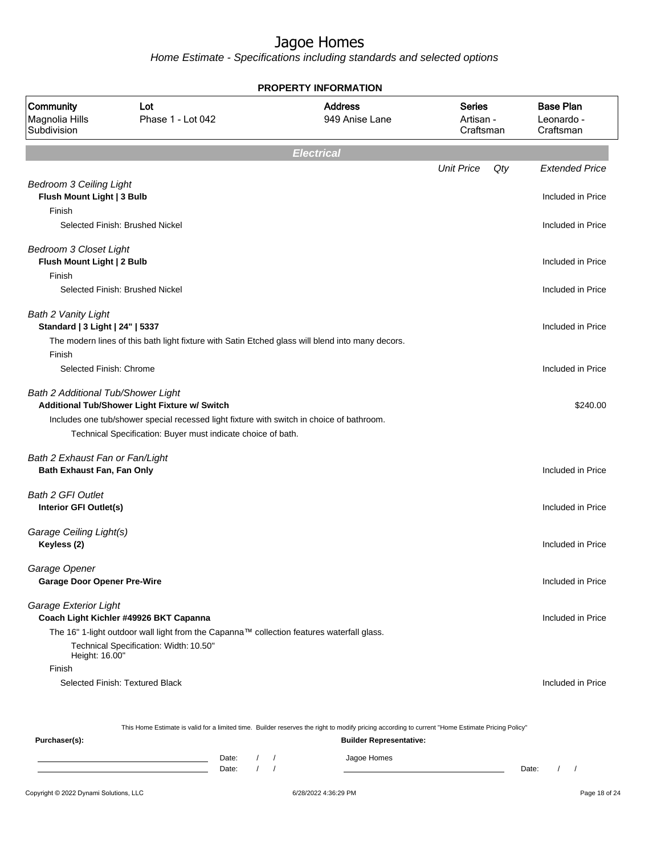Home Estimate - Specifications including standards and selected options

| <b>PROPERTY INFORMATION</b>                                           |                                                                                                                                                                                                            |                                  |                                         |                                             |  |  |
|-----------------------------------------------------------------------|------------------------------------------------------------------------------------------------------------------------------------------------------------------------------------------------------------|----------------------------------|-----------------------------------------|---------------------------------------------|--|--|
| Community<br>Magnolia Hills<br>Subdivision                            | Lot<br>Phase 1 - Lot 042                                                                                                                                                                                   | <b>Address</b><br>949 Anise Lane | <b>Series</b><br>Artisan -<br>Craftsman | <b>Base Plan</b><br>Leonardo -<br>Craftsman |  |  |
|                                                                       |                                                                                                                                                                                                            | <b>Electrical</b>                |                                         |                                             |  |  |
|                                                                       |                                                                                                                                                                                                            |                                  | <b>Unit Price</b><br>Qty                | <b>Extended Price</b>                       |  |  |
| <b>Bedroom 3 Ceiling Light</b>                                        |                                                                                                                                                                                                            |                                  |                                         |                                             |  |  |
| Flush Mount Light   3 Bulb<br>Finish                                  |                                                                                                                                                                                                            |                                  |                                         | Included in Price                           |  |  |
|                                                                       | Selected Finish: Brushed Nickel                                                                                                                                                                            |                                  |                                         | Included in Price                           |  |  |
| <b>Bedroom 3 Closet Light</b><br>Flush Mount Light   2 Bulb<br>Finish |                                                                                                                                                                                                            |                                  |                                         | Included in Price                           |  |  |
|                                                                       | Selected Finish: Brushed Nickel                                                                                                                                                                            |                                  |                                         | Included in Price                           |  |  |
| <b>Bath 2 Vanity Light</b><br>Standard   3 Light   24"   5337         | The modern lines of this bath light fixture with Satin Etched glass will blend into many decors.                                                                                                           |                                  |                                         | Included in Price                           |  |  |
| Finish<br>Selected Finish: Chrome                                     |                                                                                                                                                                                                            |                                  |                                         | Included in Price                           |  |  |
| Bath 2 Additional Tub/Shower Light                                    | Additional Tub/Shower Light Fixture w/ Switch<br>Includes one tub/shower special recessed light fixture with switch in choice of bathroom.<br>Technical Specification: Buyer must indicate choice of bath. |                                  |                                         | \$240.00                                    |  |  |
| Bath 2 Exhaust Fan or Fan/Light<br>Bath Exhaust Fan, Fan Only         |                                                                                                                                                                                                            |                                  |                                         | Included in Price                           |  |  |
| <b>Bath 2 GFI Outlet</b><br>Interior GFI Outlet(s)                    |                                                                                                                                                                                                            |                                  |                                         | Included in Price                           |  |  |
| Garage Ceiling Light(s)<br>Keyless (2)                                |                                                                                                                                                                                                            |                                  |                                         | Included in Price                           |  |  |
| Garage Opener<br><b>Garage Door Opener Pre-Wire</b>                   |                                                                                                                                                                                                            |                                  |                                         | Included in Price                           |  |  |
| Garage Exterior Light                                                 | Coach Light Kichler #49926 BKT Capanna                                                                                                                                                                     |                                  |                                         | Included in Price                           |  |  |
| Height: 16.00"                                                        | The 16" 1-light outdoor wall light from the Capanna™ collection features waterfall glass.<br>Technical Specification: Width: 10.50"                                                                        |                                  |                                         |                                             |  |  |
| Finish                                                                | Selected Finish: Textured Black                                                                                                                                                                            |                                  |                                         | Included in Price                           |  |  |
|                                                                       | This Home Estimate is valid for a limited time. Builder reserves the right to modify pricing according to current "Home Estimate Pricing Policy"                                                           |                                  |                                         |                                             |  |  |
| Purchaser(s):                                                         |                                                                                                                                                                                                            | <b>Builder Representative:</b>   |                                         |                                             |  |  |

Copyright © 2022 Dynami Solutions, LLC <br>
6/28/2022 4:36:29 PM Page 18 of 24

Date: / / Jagoe Homes<br>Date: / / Jagoe Homes

Date: / / Date: / /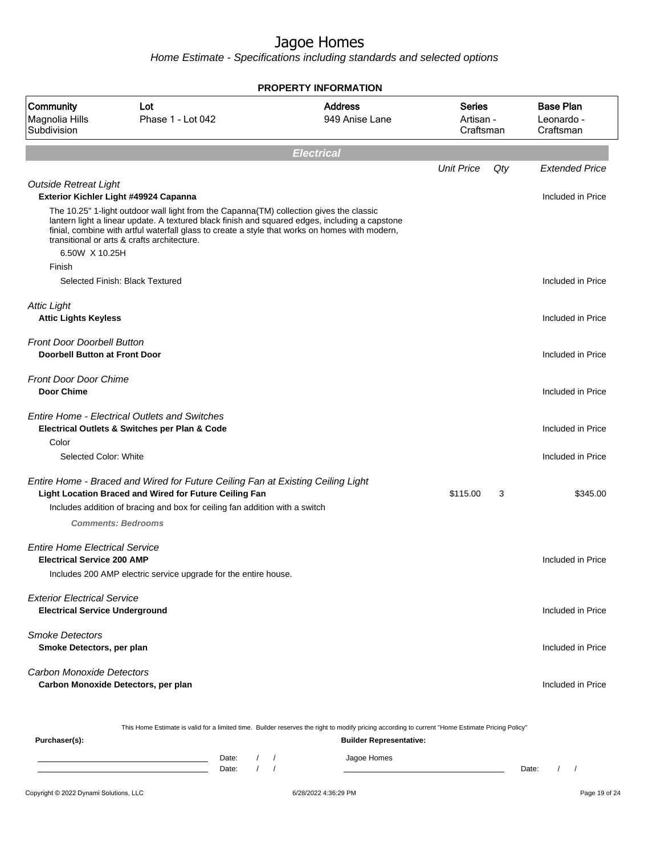Home Estimate - Specifications including standards and selected options

|                                                                             |                                                                                                                                                                                                                                                                                                                                      | <b>PROPERTY INFORMATION</b>      |                                         |     |                                             |
|-----------------------------------------------------------------------------|--------------------------------------------------------------------------------------------------------------------------------------------------------------------------------------------------------------------------------------------------------------------------------------------------------------------------------------|----------------------------------|-----------------------------------------|-----|---------------------------------------------|
| Community<br>Magnolia Hills<br>Subdivision                                  | Lot<br>Phase 1 - Lot 042                                                                                                                                                                                                                                                                                                             | <b>Address</b><br>949 Anise Lane | <b>Series</b><br>Artisan -<br>Craftsman |     | <b>Base Plan</b><br>Leonardo -<br>Craftsman |
|                                                                             |                                                                                                                                                                                                                                                                                                                                      | <b>Electrical</b>                |                                         |     |                                             |
|                                                                             |                                                                                                                                                                                                                                                                                                                                      |                                  | <b>Unit Price</b>                       | Qty | <b>Extended Price</b>                       |
| <b>Outside Retreat Light</b>                                                | Exterior Kichler Light #49924 Capanna<br>The 10.25" 1-light outdoor wall light from the Capanna(TM) collection gives the classic<br>lantern light a linear update. A textured black finish and squared edges, including a capstone<br>finial, combine with artful waterfall glass to create a style that works on homes with modern, |                                  |                                         |     | Included in Price                           |
| 6.50W X 10.25H                                                              | transitional or arts & crafts architecture.                                                                                                                                                                                                                                                                                          |                                  |                                         |     |                                             |
| Finish                                                                      | Selected Finish: Black Textured                                                                                                                                                                                                                                                                                                      |                                  |                                         |     | Included in Price                           |
| <b>Attic Light</b><br><b>Attic Lights Keyless</b>                           |                                                                                                                                                                                                                                                                                                                                      |                                  |                                         |     | Included in Price                           |
| <b>Front Door Doorbell Button</b><br><b>Doorbell Button at Front Door</b>   |                                                                                                                                                                                                                                                                                                                                      |                                  |                                         |     | Included in Price                           |
| <b>Front Door Door Chime</b><br><b>Door Chime</b>                           |                                                                                                                                                                                                                                                                                                                                      |                                  |                                         |     | Included in Price                           |
|                                                                             | <b>Entire Home - Electrical Outlets and Switches</b><br>Electrical Outlets & Switches per Plan & Code                                                                                                                                                                                                                                |                                  |                                         |     | Included in Price                           |
| Color<br>Selected Color: White                                              |                                                                                                                                                                                                                                                                                                                                      |                                  |                                         |     | Included in Price                           |
|                                                                             | Entire Home - Braced and Wired for Future Ceiling Fan at Existing Ceiling Light<br>Light Location Braced and Wired for Future Ceiling Fan                                                                                                                                                                                            |                                  | \$115.00                                | 3   | \$345.00                                    |
|                                                                             | Includes addition of bracing and box for ceiling fan addition with a switch<br><b>Comments: Bedrooms</b>                                                                                                                                                                                                                             |                                  |                                         |     |                                             |
| <b>Entire Home Electrical Service</b><br><b>Electrical Service 200 AMP</b>  |                                                                                                                                                                                                                                                                                                                                      |                                  |                                         |     | Included in Price                           |
|                                                                             | Includes 200 AMP electric service upgrade for the entire house.                                                                                                                                                                                                                                                                      |                                  |                                         |     |                                             |
| <b>Exterior Electrical Service</b><br><b>Electrical Service Underground</b> |                                                                                                                                                                                                                                                                                                                                      |                                  |                                         |     | Included in Price                           |
| <b>Smoke Detectors</b><br>Smoke Detectors, per plan                         |                                                                                                                                                                                                                                                                                                                                      |                                  |                                         |     | Included in Price                           |
| <b>Carbon Monoxide Detectors</b>                                            | Carbon Monoxide Detectors, per plan                                                                                                                                                                                                                                                                                                  |                                  |                                         |     | Included in Price                           |
|                                                                             |                                                                                                                                                                                                                                                                                                                                      |                                  |                                         |     |                                             |

This Home Estimate is valid for a limited time. Builder reserves the right to modify pricing according to current "Home Estimate Pricing Policy"

**Purchaser(s): Builder Representative:** Date: / / Jagoe Homes<br>Date: / / Jagoe Homes Date: / / Date: / /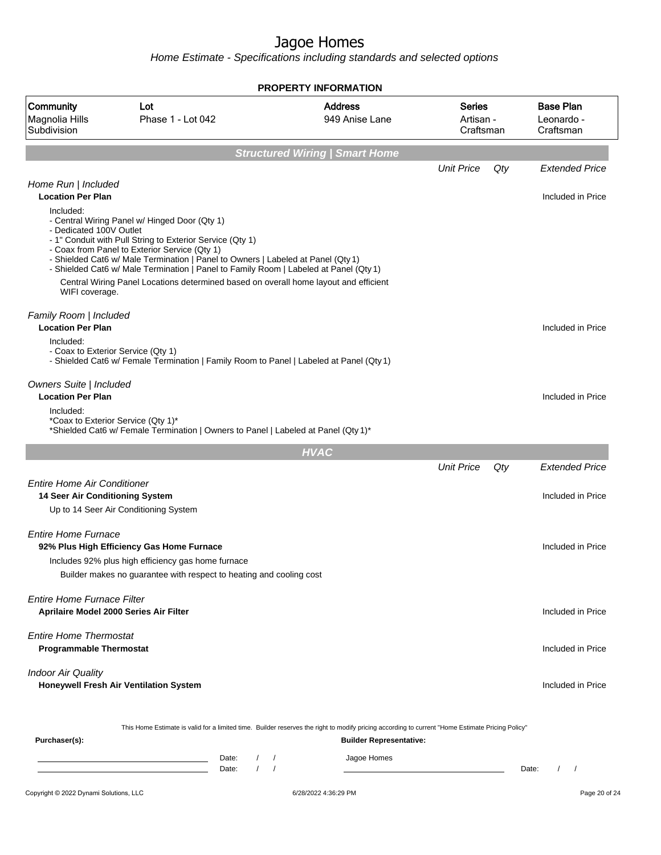|                                                                             |                                                                                                                                                                                                                                                                   | <b>PROPERTY INFORMATION</b>             |                                         |     |                                             |
|-----------------------------------------------------------------------------|-------------------------------------------------------------------------------------------------------------------------------------------------------------------------------------------------------------------------------------------------------------------|-----------------------------------------|-----------------------------------------|-----|---------------------------------------------|
| Community<br>Magnolia Hills<br>Subdivision                                  | Lot<br>Phase 1 - Lot 042                                                                                                                                                                                                                                          | <b>Address</b><br>949 Anise Lane        | <b>Series</b><br>Artisan -<br>Craftsman |     | <b>Base Plan</b><br>Leonardo -<br>Craftsman |
|                                                                             |                                                                                                                                                                                                                                                                   | <b>Structured Wiring   Smart Home</b>   |                                         |     |                                             |
| Home Run   Included                                                         |                                                                                                                                                                                                                                                                   |                                         | <b>Unit Price</b>                       | Qty | <b>Extended Price</b>                       |
| <b>Location Per Plan</b><br>Included:<br>- Dedicated 100V Outlet            | - Central Wiring Panel w/ Hinged Door (Qty 1)<br>- 1" Conduit with Pull String to Exterior Service (Qty 1)<br>- Coax from Panel to Exterior Service (Qty 1)                                                                                                       |                                         |                                         |     | Included in Price                           |
| WIFI coverage.                                                              | - Shielded Cat6 w/ Male Termination   Panel to Owners   Labeled at Panel (Qty 1)<br>- Shielded Cat6 w/ Male Termination   Panel to Family Room   Labeled at Panel (Qty 1)<br>Central Wiring Panel Locations determined based on overall home layout and efficient |                                         |                                         |     |                                             |
| Family Room   Included<br><b>Location Per Plan</b>                          |                                                                                                                                                                                                                                                                   |                                         |                                         |     | Included in Price                           |
| Included:<br>- Coax to Exterior Service (Qty 1)                             | - Shielded Cat6 w/ Female Termination   Family Room to Panel   Labeled at Panel (Qty 1)                                                                                                                                                                           |                                         |                                         |     |                                             |
| Owners Suite   Included<br><b>Location Per Plan</b><br>Included:            |                                                                                                                                                                                                                                                                   |                                         |                                         |     | Included in Price                           |
| *Coax to Exterior Service (Qty 1)*                                          | *Shielded Cat6 w/ Female Termination   Owners to Panel   Labeled at Panel (Qty 1)*                                                                                                                                                                                |                                         |                                         |     |                                             |
|                                                                             |                                                                                                                                                                                                                                                                   | <b>HVAC</b>                             |                                         |     |                                             |
|                                                                             |                                                                                                                                                                                                                                                                   |                                         | <b>Unit Price</b>                       | Qty | <b>Extended Price</b>                       |
| <b>Entire Home Air Conditioner</b><br>14 Seer Air Conditioning System       |                                                                                                                                                                                                                                                                   |                                         |                                         |     | Included in Price                           |
|                                                                             | Up to 14 Seer Air Conditioning System                                                                                                                                                                                                                             |                                         |                                         |     |                                             |
| <b>Entire Home Furnace</b>                                                  | 92% Plus High Efficiency Gas Home Furnace<br>Includes 92% plus high efficiency gas home furnace                                                                                                                                                                   |                                         |                                         |     | Included in Price                           |
|                                                                             | Builder makes no guarantee with respect to heating and cooling cost                                                                                                                                                                                               |                                         |                                         |     |                                             |
| <b>Entire Home Furnace Filter</b><br>Aprilaire Model 2000 Series Air Filter |                                                                                                                                                                                                                                                                   |                                         |                                         |     | Included in Price                           |
| <b>Entire Home Thermostat</b><br><b>Programmable Thermostat</b>             |                                                                                                                                                                                                                                                                   |                                         |                                         |     | Included in Price                           |
| <b>Indoor Air Quality</b>                                                   | Honeywell Fresh Air Ventilation System                                                                                                                                                                                                                            |                                         |                                         |     | Included in Price                           |
| Purchaser(s):                                                               | This Home Estimate is valid for a limited time. Builder reserves the right to modify pricing according to current "Home Estimate Pricing Policy"                                                                                                                  |                                         | <b>Builder Representative:</b>          |     |                                             |
|                                                                             | Date:<br><u> 1989 - Johann Barn, amerikansk politiker (</u><br>$\sqrt{ }$<br>Date:                                                                                                                                                                                | Jagoe Homes<br>$\sqrt{2}$<br>$\sqrt{2}$ |                                         |     | Date:                                       |
| Copyright © 2022 Dynami Solutions, LLC                                      |                                                                                                                                                                                                                                                                   | 6/28/2022 4:36:29 PM                    |                                         |     | Page 20 of 24                               |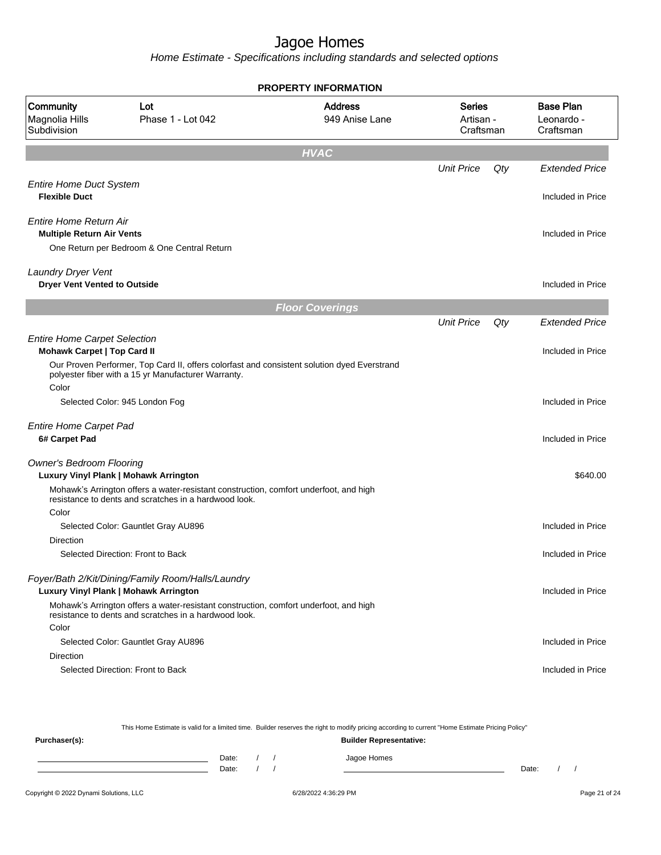Home Estimate - Specifications including standards and selected options

|                                                                           |                                                                                                                                                    | <b>PROPERTY INFORMATION</b>      |                                  |     |                                             |
|---------------------------------------------------------------------------|----------------------------------------------------------------------------------------------------------------------------------------------------|----------------------------------|----------------------------------|-----|---------------------------------------------|
| Community<br>Magnolia Hills<br>Subdivision                                | Lot<br>Phase 1 - Lot 042                                                                                                                           | <b>Address</b><br>949 Anise Lane | Series<br>Artisan -<br>Craftsman |     | <b>Base Plan</b><br>Leonardo -<br>Craftsman |
|                                                                           |                                                                                                                                                    | <b>HVAC</b>                      |                                  |     |                                             |
|                                                                           |                                                                                                                                                    |                                  | <b>Unit Price</b>                | Qty | <b>Extended Price</b>                       |
| <b>Entire Home Duct System</b><br><b>Flexible Duct</b>                    |                                                                                                                                                    |                                  |                                  |     | Included in Price                           |
| Entire Home Return Air<br><b>Multiple Return Air Vents</b>                |                                                                                                                                                    |                                  |                                  |     | Included in Price                           |
|                                                                           | One Return per Bedroom & One Central Return                                                                                                        |                                  |                                  |     |                                             |
| Laundry Dryer Vent<br><b>Dryer Vent Vented to Outside</b>                 |                                                                                                                                                    |                                  |                                  |     | Included in Price                           |
|                                                                           |                                                                                                                                                    | <b>Floor Coverings</b>           |                                  |     |                                             |
|                                                                           |                                                                                                                                                    |                                  | <b>Unit Price</b>                | Qty | <b>Extended Price</b>                       |
| <b>Entire Home Carpet Selection</b><br><b>Mohawk Carpet   Top Card II</b> |                                                                                                                                                    |                                  |                                  |     | Included in Price                           |
| Color                                                                     | Our Proven Performer, Top Card II, offers colorfast and consistent solution dyed Everstrand<br>polyester fiber with a 15 yr Manufacturer Warranty. |                                  |                                  |     |                                             |
|                                                                           | Selected Color: 945 London Fog                                                                                                                     |                                  |                                  |     | Included in Price                           |
| <b>Entire Home Carpet Pad</b>                                             |                                                                                                                                                    |                                  |                                  |     |                                             |
| 6# Carpet Pad                                                             |                                                                                                                                                    |                                  |                                  |     | Included in Price                           |
| <b>Owner's Bedroom Flooring</b>                                           | Luxury Vinyl Plank   Mohawk Arrington                                                                                                              |                                  |                                  |     | \$640.00                                    |
|                                                                           | Mohawk's Arrington offers a water-resistant construction, comfort underfoot, and high<br>resistance to dents and scratches in a hardwood look.     |                                  |                                  |     |                                             |
| Color                                                                     |                                                                                                                                                    |                                  |                                  |     | Included in Price                           |
| Direction                                                                 | Selected Color: Gauntlet Gray AU896                                                                                                                |                                  |                                  |     |                                             |
|                                                                           | Selected Direction: Front to Back                                                                                                                  |                                  |                                  |     | Included in Price                           |
|                                                                           | Foyer/Bath 2/Kit/Dining/Family Room/Halls/Laundry                                                                                                  |                                  |                                  |     |                                             |
|                                                                           | Luxury Vinyl Plank   Mohawk Arrington                                                                                                              |                                  |                                  |     | Included in Price                           |
|                                                                           | Mohawk's Arrington offers a water-resistant construction, comfort underfoot, and high<br>resistance to dents and scratches in a hardwood look.     |                                  |                                  |     |                                             |
| Color                                                                     |                                                                                                                                                    |                                  |                                  |     |                                             |
| <b>Direction</b>                                                          | Selected Color: Gauntlet Gray AU896                                                                                                                |                                  |                                  |     | Included in Price                           |
|                                                                           | Selected Direction: Front to Back                                                                                                                  |                                  |                                  |     | Included in Price                           |

This Home Estimate is valid for a limited time. Builder reserves the right to modify pricing according to current "Home Estimate Pricing Policy" **Purchaser(s): Builder Representative:** Date: / / Jagoe Homes<br>Date: / / Jagoe Homes Date: / / Date: / /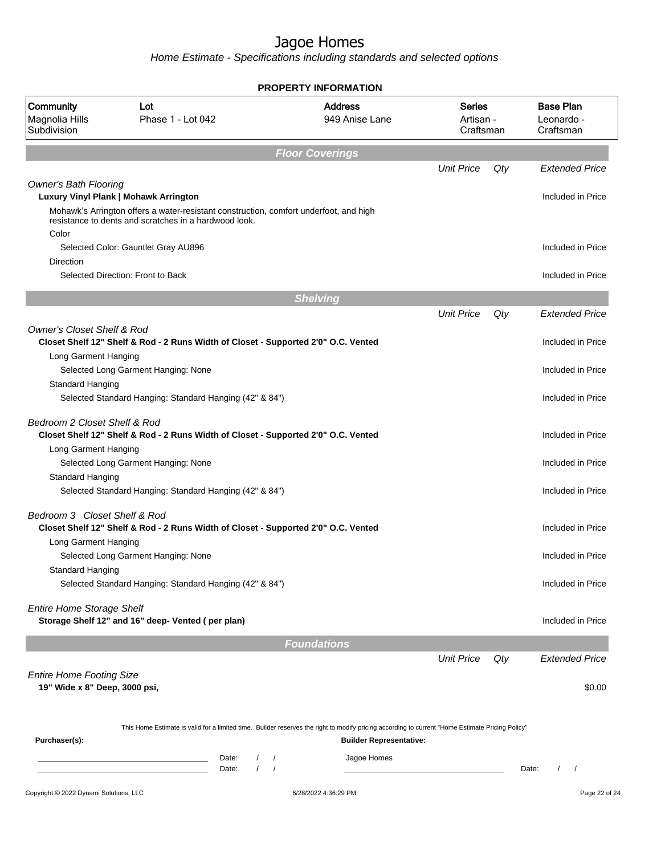|                                                                  |                                                                                                                                                  | <b>PROPERTY INFORMATION</b>           |                                         |     |                                             |
|------------------------------------------------------------------|--------------------------------------------------------------------------------------------------------------------------------------------------|---------------------------------------|-----------------------------------------|-----|---------------------------------------------|
| Community<br>Magnolia Hills<br>Subdivision                       | Lot<br>Phase 1 - Lot 042                                                                                                                         | <b>Address</b><br>949 Anise Lane      | <b>Series</b><br>Artisan -<br>Craftsman |     | <b>Base Plan</b><br>Leonardo -<br>Craftsman |
|                                                                  |                                                                                                                                                  | <b>Floor Coverings</b>                |                                         |     |                                             |
|                                                                  |                                                                                                                                                  |                                       | <b>Unit Price</b>                       | Qty | <b>Extended Price</b>                       |
| <b>Owner's Bath Flooring</b>                                     | Luxury Vinyl Plank   Mohawk Arrington                                                                                                            |                                       |                                         |     | Included in Price                           |
| Color                                                            | Mohawk's Arrington offers a water-resistant construction, comfort underfoot, and high<br>resistance to dents and scratches in a hardwood look.   |                                       |                                         |     |                                             |
| Direction                                                        | Selected Color: Gauntlet Gray AU896                                                                                                              |                                       |                                         |     | Included in Price                           |
|                                                                  | Selected Direction: Front to Back                                                                                                                |                                       |                                         |     | Included in Price                           |
|                                                                  |                                                                                                                                                  | <b>Shelving</b>                       |                                         |     |                                             |
|                                                                  |                                                                                                                                                  |                                       | <b>Unit Price</b>                       | Qty | <b>Extended Price</b>                       |
| <b>Owner's Closet Shelf &amp; Rod</b>                            |                                                                                                                                                  |                                       |                                         |     |                                             |
| Long Garment Hanging                                             | Closet Shelf 12" Shelf & Rod - 2 Runs Width of Closet - Supported 2'0" O.C. Vented                                                               |                                       |                                         |     | Included in Price                           |
|                                                                  | Selected Long Garment Hanging: None                                                                                                              |                                       |                                         |     | Included in Price                           |
| Standard Hanging                                                 | Selected Standard Hanging: Standard Hanging (42" & 84")                                                                                          |                                       |                                         |     | Included in Price                           |
| Bedroom 2 Closet Shelf & Rod                                     | Closet Shelf 12" Shelf & Rod - 2 Runs Width of Closet - Supported 2'0" O.C. Vented                                                               |                                       |                                         |     | Included in Price                           |
| Long Garment Hanging                                             | Selected Long Garment Hanging: None                                                                                                              |                                       |                                         |     | Included in Price                           |
| <b>Standard Hanging</b>                                          | Selected Standard Hanging: Standard Hanging (42" & 84")                                                                                          |                                       |                                         |     | Included in Price                           |
| Bedroom 3 Closet Shelf & Rod                                     | Closet Shelf 12" Shelf & Rod - 2 Runs Width of Closet - Supported 2'0" O.C. Vented                                                               |                                       |                                         |     | Included in Price                           |
| Long Garment Hanging                                             |                                                                                                                                                  |                                       |                                         |     |                                             |
|                                                                  | Selected Long Garment Hanging: None                                                                                                              |                                       |                                         |     | Included in Price                           |
| Standard Hanging                                                 | Selected Standard Hanging: Standard Hanging (42" & 84")                                                                                          |                                       |                                         |     | Included in Price                           |
| <b>Entire Home Storage Shelf</b>                                 | Storage Shelf 12" and 16" deep- Vented (per plan)                                                                                                |                                       |                                         |     | Included in Price                           |
|                                                                  |                                                                                                                                                  | <b>Foundations</b>                    |                                         |     |                                             |
|                                                                  |                                                                                                                                                  |                                       | <b>Unit Price</b>                       | Qty | <b>Extended Price</b>                       |
| <b>Entire Home Footing Size</b><br>19" Wide x 8" Deep, 3000 psi, |                                                                                                                                                  |                                       |                                         |     | \$0.00                                      |
|                                                                  |                                                                                                                                                  |                                       |                                         |     |                                             |
| Purchaser(s):                                                    | This Home Estimate is valid for a limited time. Builder reserves the right to modify pricing according to current "Home Estimate Pricing Policy" | <b>Builder Representative:</b>        |                                         |     |                                             |
|                                                                  | Date:<br>$\sqrt{2}$<br>$\prime$<br>Date:                                                                                                         | Jagoe Homes<br>$\sqrt{2}$<br>$\prime$ |                                         |     | Date:<br>$\overline{1}$<br>$\sqrt{2}$       |
| Copyright © 2022 Dynami Solutions, LLC                           |                                                                                                                                                  | 6/28/2022 4:36:29 PM                  |                                         |     | Page 22 of 24                               |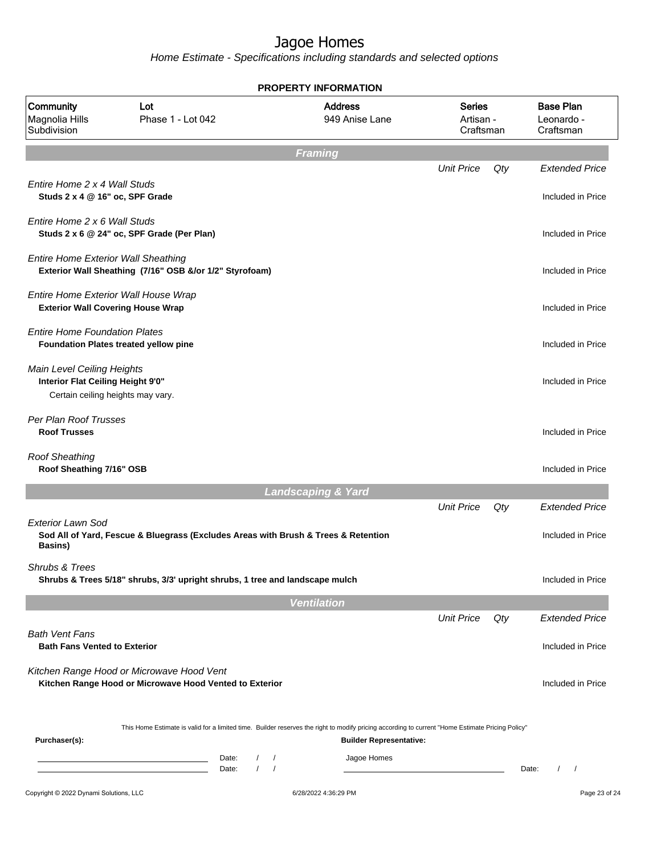|                                                                                                      |                                                                                                                                                  |                            |                               | <b>PROPERTY INFORMATION</b>      |                                         |     |                                             |
|------------------------------------------------------------------------------------------------------|--------------------------------------------------------------------------------------------------------------------------------------------------|----------------------------|-------------------------------|----------------------------------|-----------------------------------------|-----|---------------------------------------------|
| <b>Community</b><br>Magnolia Hills<br>Subdivision                                                    | Lot<br>Phase 1 - Lot 042                                                                                                                         |                            |                               | <b>Address</b><br>949 Anise Lane | <b>Series</b><br>Artisan -<br>Craftsman |     | <b>Base Plan</b><br>Leonardo -<br>Craftsman |
|                                                                                                      |                                                                                                                                                  |                            | <b>Framing</b>                |                                  |                                         |     |                                             |
| Entire Home 2 x 4 Wall Studs<br>Studs 2 x 4 @ 16" oc, SPF Grade                                      |                                                                                                                                                  |                            |                               |                                  | <b>Unit Price</b>                       | Qty | <b>Extended Price</b><br>Included in Price  |
| Entire Home 2 x 6 Wall Studs                                                                         | Studs 2 x 6 @ 24" oc, SPF Grade (Per Plan)                                                                                                       |                            |                               |                                  |                                         |     | Included in Price                           |
| <b>Entire Home Exterior Wall Sheathing</b>                                                           | Exterior Wall Sheathing (7/16" OSB &/or 1/2" Styrofoam)                                                                                          |                            |                               |                                  |                                         |     | Included in Price                           |
| Entire Home Exterior Wall House Wrap<br><b>Exterior Wall Covering House Wrap</b>                     |                                                                                                                                                  |                            |                               |                                  |                                         |     | Included in Price                           |
| <b>Entire Home Foundation Plates</b>                                                                 | Foundation Plates treated yellow pine                                                                                                            |                            |                               |                                  |                                         |     | Included in Price                           |
| Main Level Ceiling Heights<br>Interior Flat Ceiling Height 9'0"<br>Certain ceiling heights may vary. |                                                                                                                                                  |                            |                               |                                  |                                         |     | Included in Price                           |
| Per Plan Roof Trusses<br><b>Roof Trusses</b>                                                         |                                                                                                                                                  |                            |                               |                                  |                                         |     | Included in Price                           |
| <b>Roof Sheathing</b><br>Roof Sheathing 7/16" OSB                                                    |                                                                                                                                                  |                            |                               |                                  |                                         |     | Included in Price                           |
|                                                                                                      |                                                                                                                                                  |                            | <b>Landscaping &amp; Yard</b> |                                  |                                         |     |                                             |
| <b>Exterior Lawn Sod</b><br><b>Basins</b> )                                                          | Sod All of Yard, Fescue & Bluegrass (Excludes Areas with Brush & Trees & Retention                                                               |                            |                               |                                  | <b>Unit Price</b>                       | Qty | <b>Extended Price</b><br>Included in Price  |
| <b>Shrubs &amp; Trees</b>                                                                            | Shrubs & Trees 5/18" shrubs, 3/3' upright shrubs, 1 tree and landscape mulch                                                                     |                            |                               |                                  |                                         |     | Included in Price                           |
|                                                                                                      |                                                                                                                                                  |                            | <b>Ventilation</b>            |                                  |                                         |     |                                             |
|                                                                                                      |                                                                                                                                                  |                            |                               |                                  | <b>Unit Price</b>                       | Qty | <b>Extended Price</b>                       |
| <b>Bath Vent Fans</b><br><b>Bath Fans Vented to Exterior</b>                                         |                                                                                                                                                  |                            |                               |                                  |                                         |     | Included in Price                           |
|                                                                                                      | Kitchen Range Hood or Microwave Hood Vent<br>Kitchen Range Hood or Microwave Hood Vented to Exterior                                             |                            |                               |                                  |                                         |     | Included in Price                           |
| Purchaser(s):                                                                                        | This Home Estimate is valid for a limited time. Builder reserves the right to modify pricing according to current "Home Estimate Pricing Policy" |                            |                               | <b>Builder Representative:</b>   |                                         |     |                                             |
|                                                                                                      |                                                                                                                                                  | Date:<br>$\prime$<br>Date: | $\prime$<br>$\prime$          | Jagoe Homes                      |                                         |     | $\prime$<br>Date:<br>$\sqrt{ }$             |
| Copyright © 2022 Dynami Solutions, LLC                                                               |                                                                                                                                                  |                            |                               | 6/28/2022 4:36:29 PM             |                                         |     | Page 23 of 24                               |